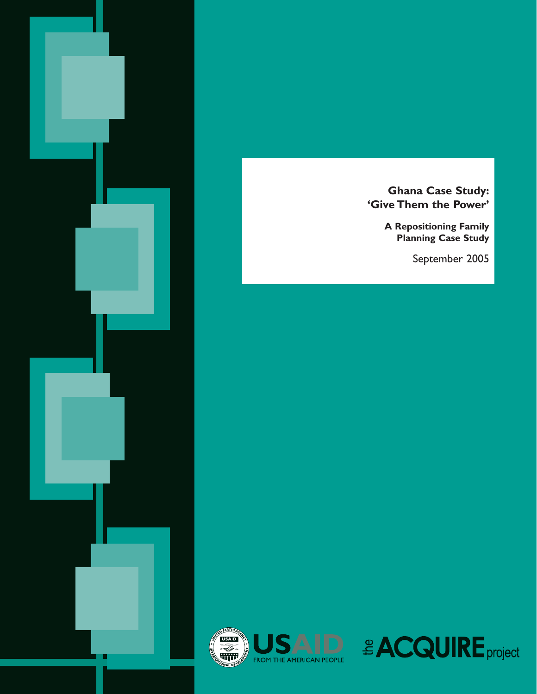**Ghana Case Study: 'Give Them the Power'**

> **A Repositioning Family Planning Case Study**

> > September 2005



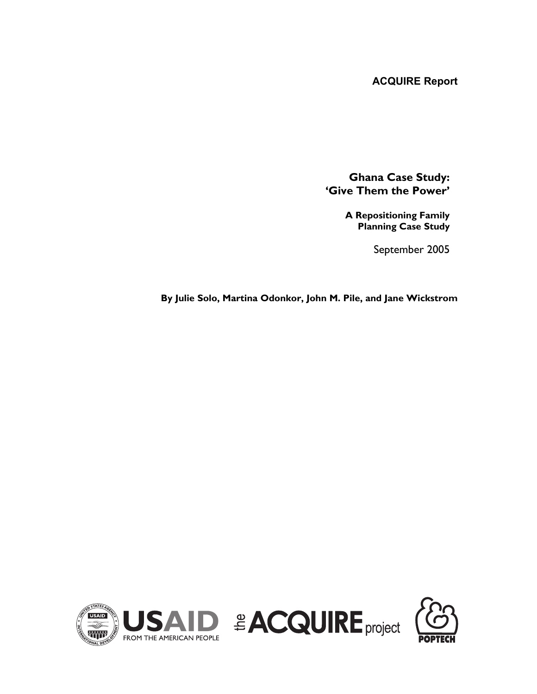# **ACQUIRE Report**

# **Ghana Case Study: 'Give Them the Power'**

**A Repositioning Family Planning Case Study** 

September 2005

**By Julie Solo, Martina Odonkor, John M. Pile, and Jane Wickstrom** 

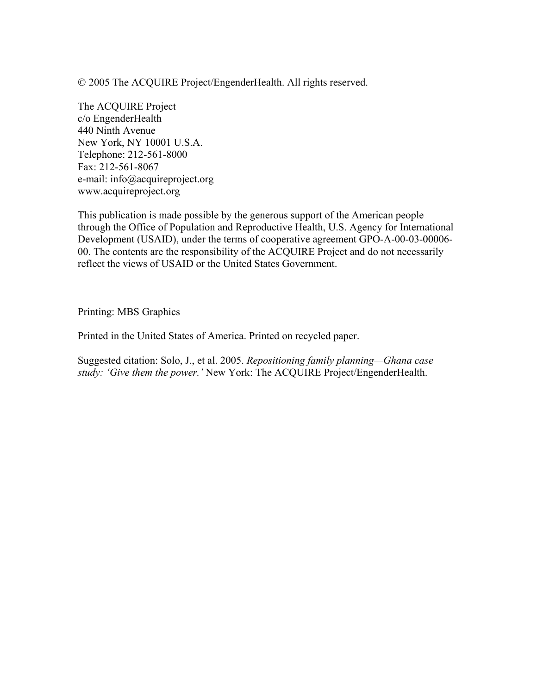2005 The ACQUIRE Project/EngenderHealth. All rights reserved.

The ACQUIRE Project c/o EngenderHealth 440 Ninth Avenue New York, NY 10001 U.S.A. Telephone: 212-561-8000 Fax: 212-561-8067 e-mail: info@acquireproject.org www.acquireproject.org

This publication is made possible by the generous support of the American people through the Office of Population and Reproductive Health, U.S. Agency for International Development (USAID), under the terms of cooperative agreement GPO-A-00-03-00006- 00. The contents are the responsibility of the ACQUIRE Project and do not necessarily reflect the views of USAID or the United States Government.

Printing: MBS Graphics

Printed in the United States of America. Printed on recycled paper.

Suggested citation: Solo, J., et al. 2005. *Repositioning family planning—Ghana case study: 'Give them the power.'* New York: The ACQUIRE Project/EngenderHealth.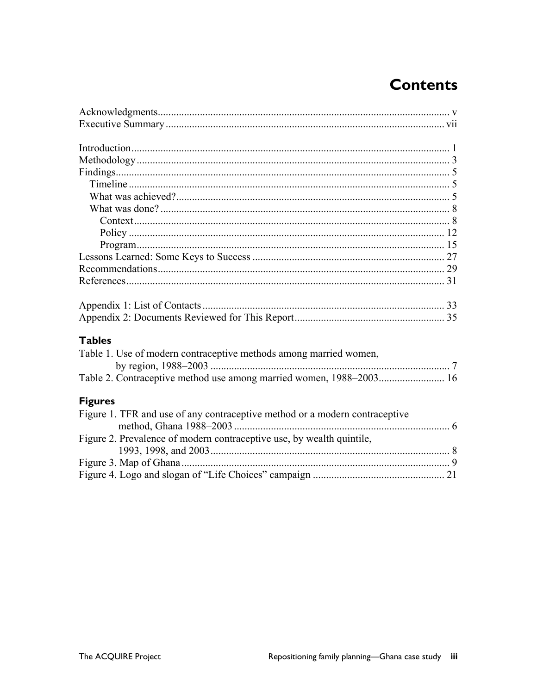# **Contents**

| <b>Tables</b>                                                               |  |
|-----------------------------------------------------------------------------|--|
| Table 1. Use of modern contraceptive methods among married women,           |  |
| Table 2. Contraceptive method use among married women, 1988-2003 16         |  |
| <b>Figures</b>                                                              |  |
| Figure 1. TFR and use of any contraceptive method or a modern contraceptive |  |
|                                                                             |  |
| Figure 2. Prevalence of modern contraceptive use, by wealth quintile,       |  |
|                                                                             |  |
|                                                                             |  |
|                                                                             |  |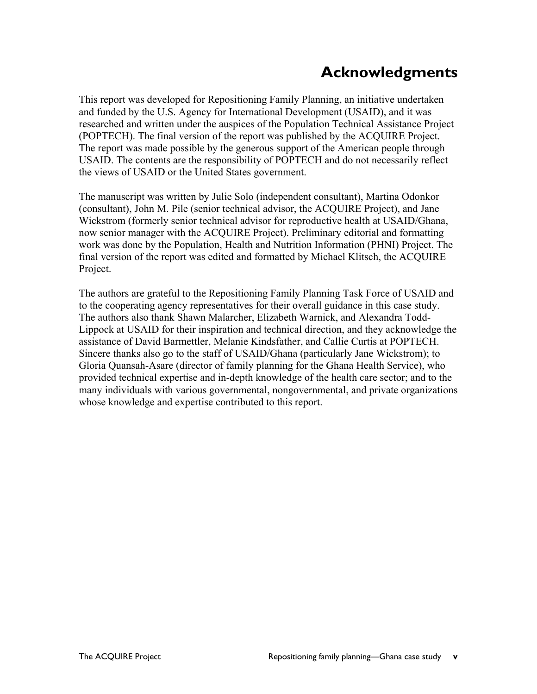# **Acknowledgments**

This report was developed for Repositioning Family Planning, an initiative undertaken and funded by the U.S. Agency for International Development (USAID), and it was researched and written under the auspices of the Population Technical Assistance Project (POPTECH). The final version of the report was published by the ACQUIRE Project. The report was made possible by the generous support of the American people through USAID. The contents are the responsibility of POPTECH and do not necessarily reflect the views of USAID or the United States government.

The manuscript was written by Julie Solo (independent consultant), Martina Odonkor (consultant), John M. Pile (senior technical advisor, the ACQUIRE Project), and Jane Wickstrom (formerly senior technical advisor for reproductive health at USAID/Ghana, now senior manager with the ACQUIRE Project). Preliminary editorial and formatting work was done by the Population, Health and Nutrition Information (PHNI) Project. The final version of the report was edited and formatted by Michael Klitsch, the ACQUIRE Project.

The authors are grateful to the Repositioning Family Planning Task Force of USAID and to the cooperating agency representatives for their overall guidance in this case study. The authors also thank Shawn Malarcher, Elizabeth Warnick, and Alexandra Todd-Lippock at USAID for their inspiration and technical direction, and they acknowledge the assistance of David Barmettler, Melanie Kindsfather, and Callie Curtis at POPTECH. Sincere thanks also go to the staff of USAID/Ghana (particularly Jane Wickstrom); to Gloria Quansah-Asare (director of family planning for the Ghana Health Service), who provided technical expertise and in-depth knowledge of the health care sector; and to the many individuals with various governmental, nongovernmental, and private organizations whose knowledge and expertise contributed to this report.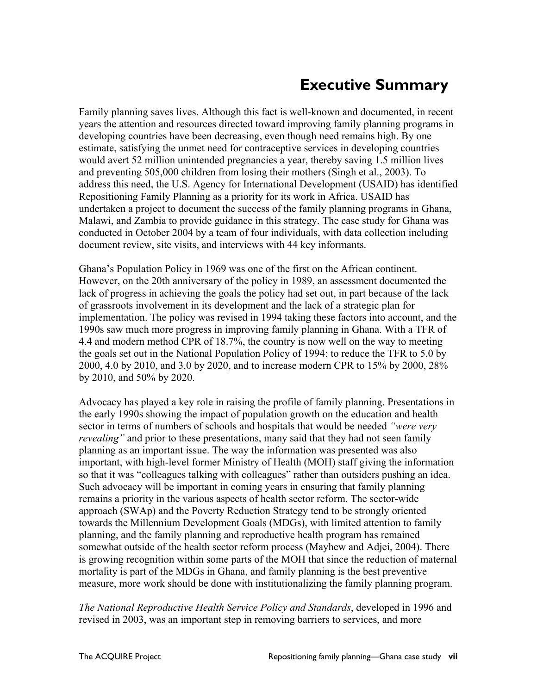# **Executive Summary**

Family planning saves lives. Although this fact is well-known and documented, in recent years the attention and resources directed toward improving family planning programs in developing countries have been decreasing, even though need remains high. By one estimate, satisfying the unmet need for contraceptive services in developing countries would avert 52 million unintended pregnancies a year, thereby saving 1.5 million lives and preventing 505,000 children from losing their mothers (Singh et al., 2003). To address this need, the U.S. Agency for International Development (USAID) has identified Repositioning Family Planning as a priority for its work in Africa. USAID has undertaken a project to document the success of the family planning programs in Ghana, Malawi, and Zambia to provide guidance in this strategy. The case study for Ghana was conducted in October 2004 by a team of four individuals, with data collection including document review, site visits, and interviews with 44 key informants.

Ghana's Population Policy in 1969 was one of the first on the African continent. However, on the 20th anniversary of the policy in 1989, an assessment documented the lack of progress in achieving the goals the policy had set out, in part because of the lack of grassroots involvement in its development and the lack of a strategic plan for implementation. The policy was revised in 1994 taking these factors into account, and the 1990s saw much more progress in improving family planning in Ghana. With a TFR of 4.4 and modern method CPR of 18.7%, the country is now well on the way to meeting the goals set out in the National Population Policy of 1994: to reduce the TFR to 5.0 by 2000, 4.0 by 2010, and 3.0 by 2020, and to increase modern CPR to 15% by 2000, 28% by 2010, and 50% by 2020.

Advocacy has played a key role in raising the profile of family planning. Presentations in the early 1990s showing the impact of population growth on the education and health sector in terms of numbers of schools and hospitals that would be needed *"were very revealing"* and prior to these presentations, many said that they had not seen family planning as an important issue. The way the information was presented was also important, with high-level former Ministry of Health (MOH) staff giving the information so that it was "colleagues talking with colleagues" rather than outsiders pushing an idea. Such advocacy will be important in coming years in ensuring that family planning remains a priority in the various aspects of health sector reform. The sector-wide approach (SWAp) and the Poverty Reduction Strategy tend to be strongly oriented towards the Millennium Development Goals (MDGs), with limited attention to family planning, and the family planning and reproductive health program has remained somewhat outside of the health sector reform process (Mayhew and Adjei, 2004). There is growing recognition within some parts of the MOH that since the reduction of maternal mortality is part of the MDGs in Ghana, and family planning is the best preventive measure, more work should be done with institutionalizing the family planning program.

*The National Reproductive Health Service Policy and Standards*, developed in 1996 and revised in 2003, was an important step in removing barriers to services, and more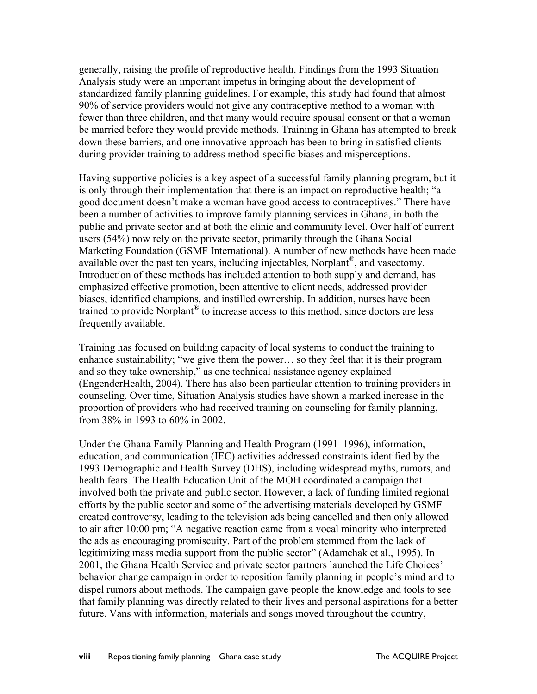generally, raising the profile of reproductive health. Findings from the 1993 Situation Analysis study were an important impetus in bringing about the development of standardized family planning guidelines. For example, this study had found that almost 90% of service providers would not give any contraceptive method to a woman with fewer than three children, and that many would require spousal consent or that a woman be married before they would provide methods. Training in Ghana has attempted to break down these barriers, and one innovative approach has been to bring in satisfied clients during provider training to address method-specific biases and misperceptions.

Having supportive policies is a key aspect of a successful family planning program, but it is only through their implementation that there is an impact on reproductive health; "a good document doesn't make a woman have good access to contraceptives." There have been a number of activities to improve family planning services in Ghana, in both the public and private sector and at both the clinic and community level. Over half of current users (54%) now rely on the private sector, primarily through the Ghana Social Marketing Foundation (GSMF International). A number of new methods have been made available over the past ten years, including injectables, Norplant<sup>®</sup>, and vasectomy. Introduction of these methods has included attention to both supply and demand, has emphasized effective promotion, been attentive to client needs, addressed provider biases, identified champions, and instilled ownership. In addition, nurses have been trained to provide Norplant® to increase access to this method, since doctors are less frequently available.

Training has focused on building capacity of local systems to conduct the training to enhance sustainability; "we give them the power… so they feel that it is their program and so they take ownership," as one technical assistance agency explained (EngenderHealth, 2004). There has also been particular attention to training providers in counseling. Over time, Situation Analysis studies have shown a marked increase in the proportion of providers who had received training on counseling for family planning, from 38% in 1993 to 60% in 2002.

Under the Ghana Family Planning and Health Program (1991–1996), information, education, and communication (IEC) activities addressed constraints identified by the 1993 Demographic and Health Survey (DHS), including widespread myths, rumors, and health fears. The Health Education Unit of the MOH coordinated a campaign that involved both the private and public sector. However, a lack of funding limited regional efforts by the public sector and some of the advertising materials developed by GSMF created controversy, leading to the television ads being cancelled and then only allowed to air after 10:00 pm; "A negative reaction came from a vocal minority who interpreted the ads as encouraging promiscuity. Part of the problem stemmed from the lack of legitimizing mass media support from the public sector" (Adamchak et al., 1995). In 2001, the Ghana Health Service and private sector partners launched the Life Choices' behavior change campaign in order to reposition family planning in people's mind and to dispel rumors about methods. The campaign gave people the knowledge and tools to see that family planning was directly related to their lives and personal aspirations for a better future. Vans with information, materials and songs moved throughout the country,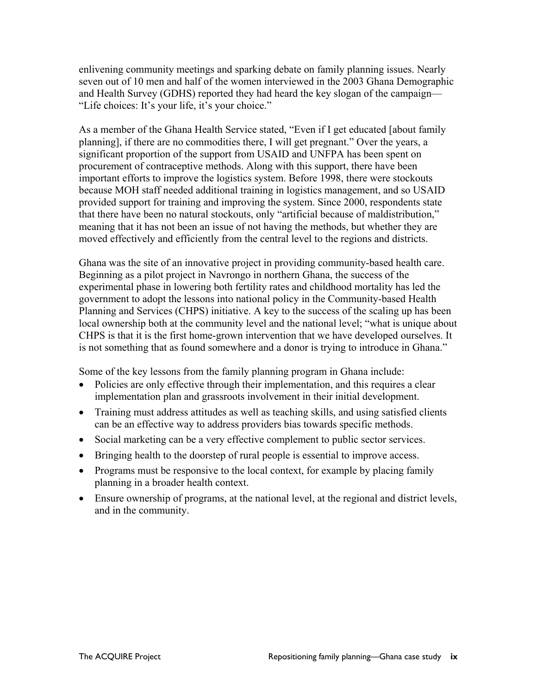enlivening community meetings and sparking debate on family planning issues. Nearly seven out of 10 men and half of the women interviewed in the 2003 Ghana Demographic and Health Survey (GDHS) reported they had heard the key slogan of the campaign— "Life choices: It's your life, it's your choice."

As a member of the Ghana Health Service stated, "Even if I get educated [about family planning], if there are no commodities there, I will get pregnant." Over the years, a significant proportion of the support from USAID and UNFPA has been spent on procurement of contraceptive methods. Along with this support, there have been important efforts to improve the logistics system. Before 1998, there were stockouts because MOH staff needed additional training in logistics management, and so USAID provided support for training and improving the system. Since 2000, respondents state that there have been no natural stockouts, only "artificial because of maldistribution," meaning that it has not been an issue of not having the methods, but whether they are moved effectively and efficiently from the central level to the regions and districts.

Ghana was the site of an innovative project in providing community-based health care. Beginning as a pilot project in Navrongo in northern Ghana, the success of the experimental phase in lowering both fertility rates and childhood mortality has led the government to adopt the lessons into national policy in the Community-based Health Planning and Services (CHPS) initiative. A key to the success of the scaling up has been local ownership both at the community level and the national level; "what is unique about CHPS is that it is the first home-grown intervention that we have developed ourselves. It is not something that as found somewhere and a donor is trying to introduce in Ghana."

Some of the key lessons from the family planning program in Ghana include:

- Policies are only effective through their implementation, and this requires a clear implementation plan and grassroots involvement in their initial development.
- Training must address attitudes as well as teaching skills, and using satisfied clients can be an effective way to address providers bias towards specific methods.
- Social marketing can be a very effective complement to public sector services.
- Bringing health to the doorstep of rural people is essential to improve access.
- Programs must be responsive to the local context, for example by placing family planning in a broader health context.
- Ensure ownership of programs, at the national level, at the regional and district levels, and in the community.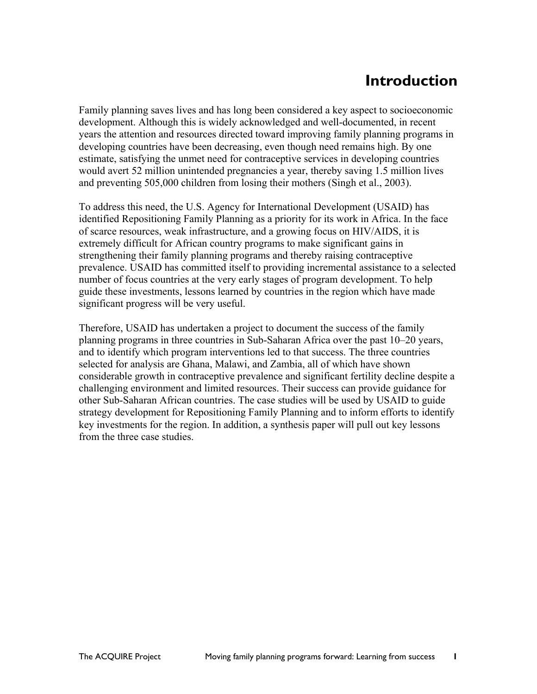# **Introduction**

Family planning saves lives and has long been considered a key aspect to socioeconomic development. Although this is widely acknowledged and well-documented, in recent years the attention and resources directed toward improving family planning programs in developing countries have been decreasing, even though need remains high. By one estimate, satisfying the unmet need for contraceptive services in developing countries would avert 52 million unintended pregnancies a year, thereby saving 1.5 million lives and preventing 505,000 children from losing their mothers (Singh et al., 2003).

To address this need, the U.S. Agency for International Development (USAID) has identified Repositioning Family Planning as a priority for its work in Africa. In the face of scarce resources, weak infrastructure, and a growing focus on HIV/AIDS, it is extremely difficult for African country programs to make significant gains in strengthening their family planning programs and thereby raising contraceptive prevalence. USAID has committed itself to providing incremental assistance to a selected number of focus countries at the very early stages of program development. To help guide these investments, lessons learned by countries in the region which have made significant progress will be very useful.

Therefore, USAID has undertaken a project to document the success of the family planning programs in three countries in Sub-Saharan Africa over the past 10–20 years, and to identify which program interventions led to that success. The three countries selected for analysis are Ghana, Malawi, and Zambia, all of which have shown considerable growth in contraceptive prevalence and significant fertility decline despite a challenging environment and limited resources. Their success can provide guidance for other Sub-Saharan African countries. The case studies will be used by USAID to guide strategy development for Repositioning Family Planning and to inform efforts to identify key investments for the region. In addition, a synthesis paper will pull out key lessons from the three case studies.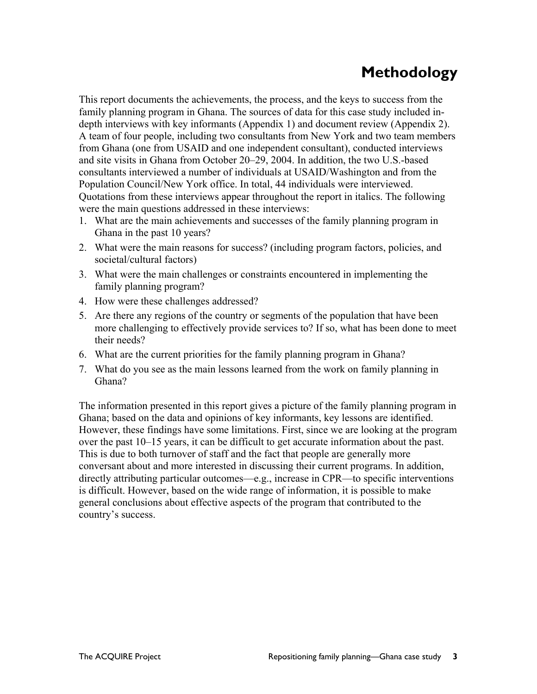# **Methodology**

This report documents the achievements, the process, and the keys to success from the family planning program in Ghana. The sources of data for this case study included indepth interviews with key informants (Appendix 1) and document review (Appendix 2). A team of four people, including two consultants from New York and two team members from Ghana (one from USAID and one independent consultant), conducted interviews and site visits in Ghana from October 20–29, 2004. In addition, the two U.S.-based consultants interviewed a number of individuals at USAID/Washington and from the Population Council/New York office. In total, 44 individuals were interviewed. Quotations from these interviews appear throughout the report in italics. The following were the main questions addressed in these interviews:

- 1. What are the main achievements and successes of the family planning program in Ghana in the past 10 years?
- 2. What were the main reasons for success? (including program factors, policies, and societal/cultural factors)
- 3. What were the main challenges or constraints encountered in implementing the family planning program?
- 4. How were these challenges addressed?
- 5. Are there any regions of the country or segments of the population that have been more challenging to effectively provide services to? If so, what has been done to meet their needs?
- 6. What are the current priorities for the family planning program in Ghana?
- 7. What do you see as the main lessons learned from the work on family planning in Ghana?

The information presented in this report gives a picture of the family planning program in Ghana; based on the data and opinions of key informants, key lessons are identified. However, these findings have some limitations. First, since we are looking at the program over the past 10–15 years, it can be difficult to get accurate information about the past. This is due to both turnover of staff and the fact that people are generally more conversant about and more interested in discussing their current programs. In addition, directly attributing particular outcomes—e.g., increase in CPR—to specific interventions is difficult. However, based on the wide range of information, it is possible to make general conclusions about effective aspects of the program that contributed to the country's success.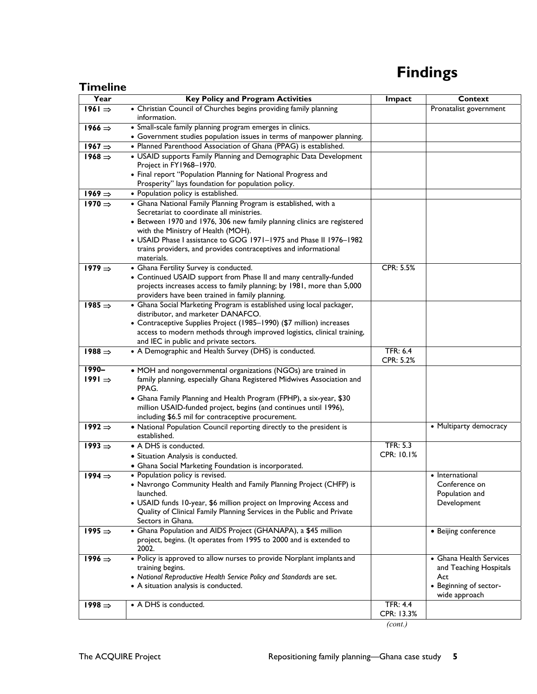# **Findings**

| Year               | <b>Key Policy and Program Activities</b>                                                | Impact                        | Context                          |
|--------------------|-----------------------------------------------------------------------------------------|-------------------------------|----------------------------------|
| $1961 \Rightarrow$ | • Christian Council of Churches begins providing family planning                        |                               | Pronatalist government           |
|                    | information.                                                                            |                               |                                  |
| $1966 \Rightarrow$ | • Small-scale family planning program emerges in clinics.                               |                               |                                  |
|                    | • Government studies population issues in terms of manpower planning.                   |                               |                                  |
| $1967 \Rightarrow$ | • Planned Parenthood Association of Ghana (PPAG) is established.                        |                               |                                  |
| $1968 \Rightarrow$ | • USAID supports Family Planning and Demographic Data Development                       |                               |                                  |
|                    | Project in FY1968-1970.                                                                 |                               |                                  |
|                    | • Final report "Population Planning for National Progress and                           |                               |                                  |
|                    | Prosperity" lays foundation for population policy.                                      |                               |                                  |
| $1969 \Rightarrow$ | • Population policy is established.                                                     |                               |                                  |
| $1970 \Rightarrow$ | • Ghana National Family Planning Program is established, with a                         |                               |                                  |
|                    | Secretariat to coordinate all ministries.                                               |                               |                                  |
|                    | • Between 1970 and 1976, 306 new family planning clinics are registered                 |                               |                                  |
|                    | with the Ministry of Health (MOH).                                                      |                               |                                  |
|                    | • USAID Phase I assistance to GOG 1971-1975 and Phase II 1976-1982                      |                               |                                  |
|                    | trains providers, and provides contraceptives and informational<br>materials.           |                               |                                  |
| $1979 \Rightarrow$ | • Ghana Fertility Survey is conducted.                                                  | CPR: 5.5%                     |                                  |
|                    | • Continued USAID support from Phase II and many centrally-funded                       |                               |                                  |
|                    | projects increases access to family planning; by 1981, more than 5,000                  |                               |                                  |
|                    | providers have been trained in family planning.                                         |                               |                                  |
| $1985 \Rightarrow$ | • Ghana Social Marketing Program is established using local packager,                   |                               |                                  |
|                    | distributor, and marketer DANAFCO.                                                      |                               |                                  |
|                    | • Contraceptive Supplies Project (1985-1990) (\$7 million) increases                    |                               |                                  |
|                    | access to modern methods through improved logistics, clinical training,                 |                               |                                  |
|                    | and IEC in public and private sectors.                                                  |                               |                                  |
| $1988 \Rightarrow$ | • A Demographic and Health Survey (DHS) is conducted.                                   | <b>TFR: 6.4</b>               |                                  |
|                    |                                                                                         | CPR: 5.2%                     |                                  |
| $1990 -$           | • MOH and nongovernmental organizations (NGOs) are trained in                           |                               |                                  |
| $1991 \Rightarrow$ | family planning, especially Ghana Registered Midwives Association and                   |                               |                                  |
|                    | PPAG.                                                                                   |                               |                                  |
|                    | • Ghana Family Planning and Health Program (FPHP), a six-year, \$30                     |                               |                                  |
|                    | million USAID-funded project, begins (and continues until 1996),                        |                               |                                  |
|                    | including \$6.5 mil for contraceptive procurement.                                      |                               |                                  |
| $1992 \Rightarrow$ | • National Population Council reporting directly to the president is<br>established.    |                               | • Multiparty democracy           |
| $1993 \Rightarrow$ | • A DHS is conducted.                                                                   | <b>TFR: 5.3</b>               |                                  |
|                    |                                                                                         | CPR: 10.1%                    |                                  |
|                    | • Situation Analysis is conducted.                                                      |                               |                                  |
| $1994 \Rightarrow$ | • Ghana Social Marketing Foundation is incorporated.<br>• Population policy is revised. |                               |                                  |
|                    | • Navrongo Community Health and Family Planning Project (CHFP) is                       |                               | • International<br>Conference on |
|                    | launched.                                                                               |                               | Population and                   |
|                    | • USAID funds 10-year, \$6 million project on Improving Access and                      |                               | Development                      |
|                    | Quality of Clinical Family Planning Services in the Public and Private                  |                               |                                  |
|                    | Sectors in Ghana.                                                                       |                               |                                  |
| $1995 \Rightarrow$ | • Ghana Population and AIDS Project (GHANAPA), a \$45 million                           |                               | • Beijing conference             |
|                    | project, begins. (It operates from 1995 to 2000 and is extended to                      |                               |                                  |
|                    | 2002.                                                                                   |                               |                                  |
| $1996 \Rightarrow$ | • Policy is approved to allow nurses to provide Norplant implants and                   |                               | • Ghana Health Services          |
|                    | training begins.                                                                        |                               | and Teaching Hospitals           |
|                    | • National Reproductive Health Service Policy and Standards are set.                    |                               | Act                              |
|                    | • A situation analysis is conducted.                                                    |                               | • Beginning of sector-           |
|                    |                                                                                         |                               | wide approach                    |
| $1998 \Rightarrow$ | • A DHS is conducted.                                                                   | <b>TFR: 4.4</b><br>CPR: 13.3% |                                  |

*(cont.)* 

**Timeline**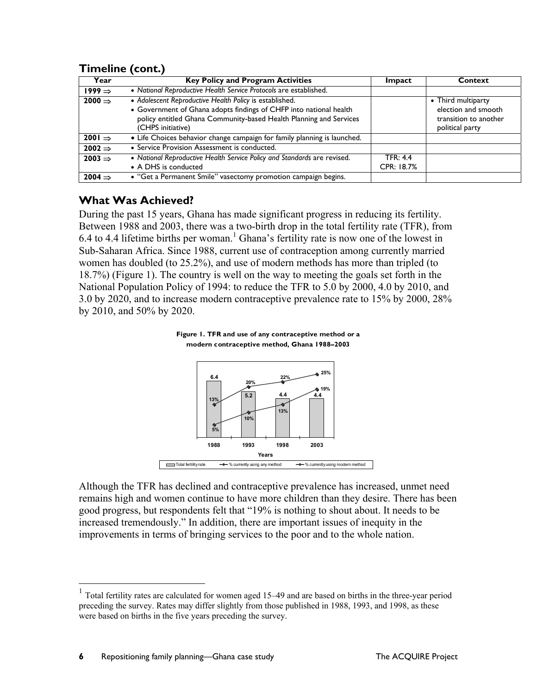# **Timeline (cont.)**

| Year               | <b>Key Policy and Program Activities</b>                                                                                                                                                                                 | Impact                 | Context                                                                               |
|--------------------|--------------------------------------------------------------------------------------------------------------------------------------------------------------------------------------------------------------------------|------------------------|---------------------------------------------------------------------------------------|
| $1999 \Rightarrow$ | • National Reproductive Health Service Protocols are established.                                                                                                                                                        |                        |                                                                                       |
| $2000 \Rightarrow$ | • Adolescent Reproductive Health Policy is established.<br>• Government of Ghana adopts findings of CHFP into national health<br>policy entitled Ghana Community-based Health Planning and Services<br>(CHPS initiative) |                        | • Third multiparty<br>election and smooth<br>transition to another<br>political party |
| $2001 \Rightarrow$ | • Life Choices behavior change campaign for family planning is launched.                                                                                                                                                 |                        |                                                                                       |
| $2002 \Rightarrow$ | • Service Provision Assessment is conducted.                                                                                                                                                                             |                        |                                                                                       |
| $2003 \Rightarrow$ | • National Reproductive Health Service Policy and Standards are revised.<br>• A DHS is conducted                                                                                                                         | TFR: 4.4<br>CPR: 18.7% |                                                                                       |
| $2004 \Rightarrow$ | • "Get a Permanent Smile" vasectomy promotion campaign begins.                                                                                                                                                           |                        |                                                                                       |

# **What Was Achieved?**

During the past 15 years, Ghana has made significant progress in reducing its fertility. Between 1988 and 2003, there was a two-birth drop in the total fertility rate (TFR), from  $6.4$  to  $4.4$  lifetime births per woman.<sup>1</sup> Ghana's fertility rate is now one of the lowest in Sub-Saharan Africa. Since 1988, current use of contraception among currently married women has doubled (to 25.2%), and use of modern methods has more than tripled (to 18.7%) (Figure 1). The country is well on the way to meeting the goals set forth in the National Population Policy of 1994: to reduce the TFR to 5.0 by 2000, 4.0 by 2010, and 3.0 by 2020, and to increase modern contraceptive prevalence rate to 15% by 2000, 28% by 2010, and 50% by 2020.





Although the TFR has declined and contraceptive prevalence has increased, unmet need remains high and women continue to have more children than they desire. There has been good progress, but respondents felt that "19% is nothing to shout about. It needs to be increased tremendously." In addition, there are important issues of inequity in the improvements in terms of bringing services to the poor and to the whole nation.

 $\overline{a}$ 

 $<sup>1</sup>$  Total fertility rates are calculated for women aged 15–49 and are based on births in the three-year period</sup> preceding the survey. Rates may differ slightly from those published in 1988, 1993, and 1998, as these were based on births in the five years preceding the survey.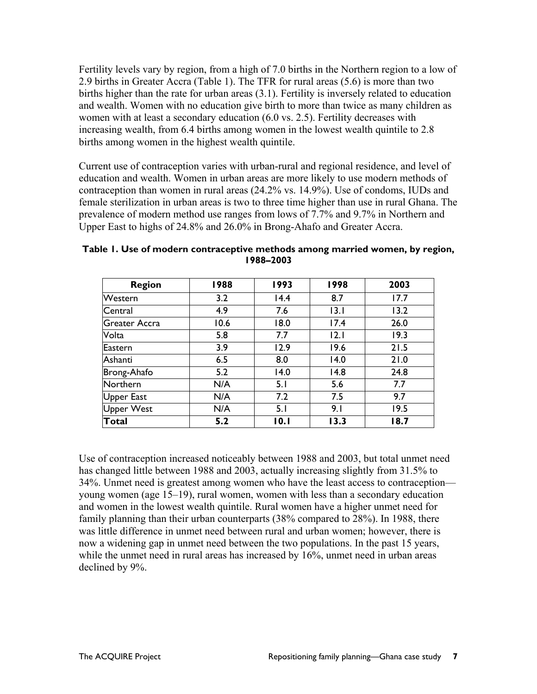Fertility levels vary by region, from a high of 7.0 births in the Northern region to a low of 2.9 births in Greater Accra (Table 1). The TFR for rural areas (5.6) is more than two births higher than the rate for urban areas (3.1). Fertility is inversely related to education and wealth. Women with no education give birth to more than twice as many children as women with at least a secondary education (6.0 vs. 2.5). Fertility decreases with increasing wealth, from 6.4 births among women in the lowest wealth quintile to 2.8 births among women in the highest wealth quintile.

Current use of contraception varies with urban-rural and regional residence, and level of education and wealth. Women in urban areas are more likely to use modern methods of contraception than women in rural areas (24.2% vs. 14.9%). Use of condoms, IUDs and female sterilization in urban areas is two to three time higher than use in rural Ghana. The prevalence of modern method use ranges from lows of 7.7% and 9.7% in Northern and Upper East to highs of 24.8% and 26.0% in Brong-Ahafo and Greater Accra.

| <b>Region</b>     | 1988 | 1993 | 1998 | 2003 |
|-------------------|------|------|------|------|
| Western           | 3.2  | 14.4 | 8.7  | 17.7 |
| Central           | 4.9  | 7.6  | 13.1 | 13.2 |
| Greater Accra     | 10.6 | 18.0 | 17.4 | 26.0 |
| Volta             | 5.8  | 7.7  | 2.1  | 19.3 |
| lEastern          | 3.9  | 12.9 | 19.6 | 21.5 |
| Ashanti           | 6.5  | 8.0  | 14.0 | 21.0 |
| Brong-Ahafo       | 5.2  | 14.0 | 14.8 | 24.8 |
| Northern          | N/A  | 5.1  | 5.6  | 7.7  |
| Upper East        | N/A  | 7.2  | 7.5  | 9.7  |
| <b>Upper West</b> | N/A  | 5.1  | 9.1  | 19.5 |
| Total             | 5.2  | 10.1 | 13.3 | 18.7 |

**Table 1. Use of modern contraceptive methods among married women, by region, 1988–2003** 

Use of contraception increased noticeably between 1988 and 2003, but total unmet need has changed little between 1988 and 2003, actually increasing slightly from 31.5% to 34%. Unmet need is greatest among women who have the least access to contraception young women (age 15–19), rural women, women with less than a secondary education and women in the lowest wealth quintile. Rural women have a higher unmet need for family planning than their urban counterparts (38% compared to 28%). In 1988, there was little difference in unmet need between rural and urban women; however, there is now a widening gap in unmet need between the two populations. In the past 15 years, while the unmet need in rural areas has increased by 16%, unmet need in urban areas declined by 9%.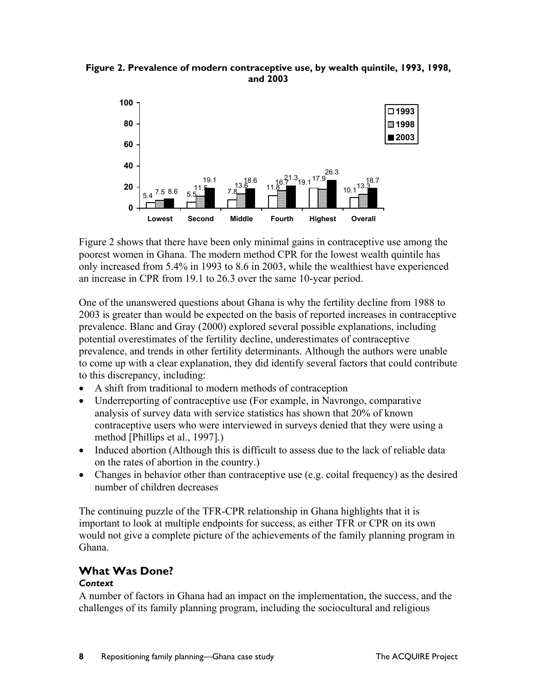#### **Figure 2. Prevalence of modern contraceptive use, by wealth quintile, 1993, 1998, and 2003**



Figure 2 shows that there have been only minimal gains in contraceptive use among the poorest women in Ghana. The modern method CPR for the lowest wealth quintile has only increased from 5.4% in 1993 to 8.6 in 2003, while the wealthiest have experienced an increase in CPR from 19.1 to 26.3 over the same 10-year period.

One of the unanswered questions about Ghana is why the fertility decline from 1988 to 2003 is greater than would be expected on the basis of reported increases in contraceptive prevalence. Blanc and Gray (2000) explored several possible explanations, including potential overestimates of the fertility decline, underestimates of contraceptive prevalence, and trends in other fertility determinants. Although the authors were unable to come up with a clear explanation, they did identify several factors that could contribute to this discrepancy, including:

- A shift from traditional to modern methods of contraception
- Underreporting of contraceptive use (For example, in Navrongo, comparative analysis of survey data with service statistics has shown that 20% of known contraceptive users who were interviewed in surveys denied that they were using a method [Phillips et al., 1997].)
- Induced abortion (Although this is difficult to assess due to the lack of reliable data on the rates of abortion in the country.)
- Changes in behavior other than contraceptive use (e.g. coital frequency) as the desired number of children decreases

The continuing puzzle of the TFR-CPR relationship in Ghana highlights that it is important to look at multiple endpoints for success, as either TFR or CPR on its own would not give a complete picture of the achievements of the family planning program in Ghana.

## **What Was Done?**

## *Context*

A number of factors in Ghana had an impact on the implementation, the success, and the challenges of its family planning program, including the sociocultural and religious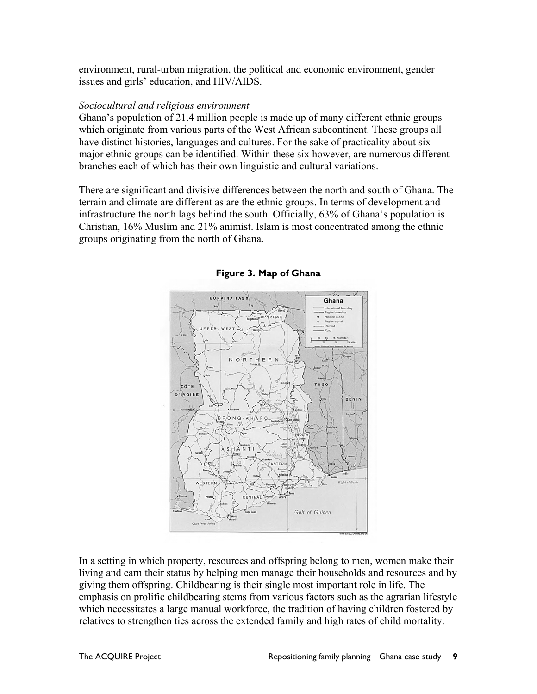environment, rural-urban migration, the political and economic environment, gender issues and girls' education, and HIV/AIDS.

### *Sociocultural and religious environment*

Ghana's population of 21.4 million people is made up of many different ethnic groups which originate from various parts of the West African subcontinent. These groups all have distinct histories, languages and cultures. For the sake of practicality about six major ethnic groups can be identified. Within these six however, are numerous different branches each of which has their own linguistic and cultural variations.

There are significant and divisive differences between the north and south of Ghana. The terrain and climate are different as are the ethnic groups. In terms of development and infrastructure the north lags behind the south. Officially, 63% of Ghana's population is Christian, 16% Muslim and 21% animist. Islam is most concentrated among the ethnic groups originating from the north of Ghana.



**Figure 3. Map of Ghana** 

In a setting in which property, resources and offspring belong to men, women make their living and earn their status by helping men manage their households and resources and by giving them offspring. Childbearing is their single most important role in life. The emphasis on prolific childbearing stems from various factors such as the agrarian lifestyle which necessitates a large manual workforce, the tradition of having children fostered by relatives to strengthen ties across the extended family and high rates of child mortality.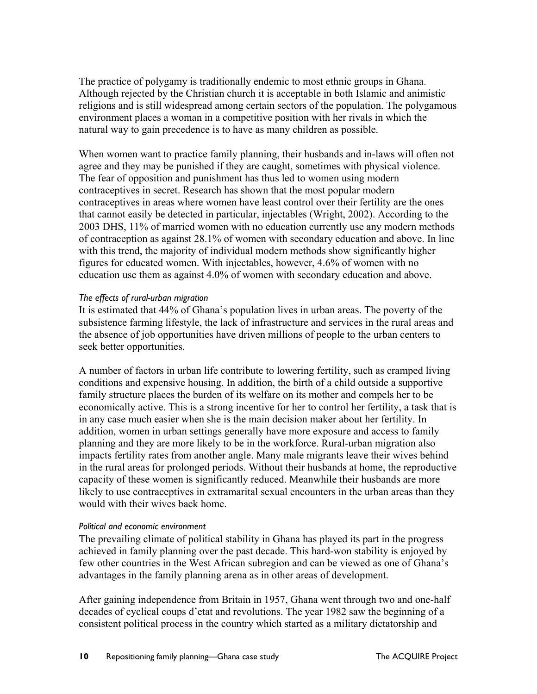The practice of polygamy is traditionally endemic to most ethnic groups in Ghana. Although rejected by the Christian church it is acceptable in both Islamic and animistic religions and is still widespread among certain sectors of the population. The polygamous environment places a woman in a competitive position with her rivals in which the natural way to gain precedence is to have as many children as possible.

When women want to practice family planning, their husbands and in-laws will often not agree and they may be punished if they are caught, sometimes with physical violence. The fear of opposition and punishment has thus led to women using modern contraceptives in secret. Research has shown that the most popular modern contraceptives in areas where women have least control over their fertility are the ones that cannot easily be detected in particular, injectables (Wright, 2002). According to the 2003 DHS, 11% of married women with no education currently use any modern methods of contraception as against 28.1% of women with secondary education and above. In line with this trend, the majority of individual modern methods show significantly higher figures for educated women. With injectables, however, 4.6% of women with no education use them as against 4.0% of women with secondary education and above.

#### *The effects of rural-urban migration*

It is estimated that 44% of Ghana's population lives in urban areas. The poverty of the subsistence farming lifestyle, the lack of infrastructure and services in the rural areas and the absence of job opportunities have driven millions of people to the urban centers to seek better opportunities.

A number of factors in urban life contribute to lowering fertility, such as cramped living conditions and expensive housing. In addition, the birth of a child outside a supportive family structure places the burden of its welfare on its mother and compels her to be economically active. This is a strong incentive for her to control her fertility, a task that is in any case much easier when she is the main decision maker about her fertility. In addition, women in urban settings generally have more exposure and access to family planning and they are more likely to be in the workforce. Rural-urban migration also impacts fertility rates from another angle. Many male migrants leave their wives behind in the rural areas for prolonged periods. Without their husbands at home, the reproductive capacity of these women is significantly reduced. Meanwhile their husbands are more likely to use contraceptives in extramarital sexual encounters in the urban areas than they would with their wives back home.

#### *Political and economic environment*

The prevailing climate of political stability in Ghana has played its part in the progress achieved in family planning over the past decade. This hard-won stability is enjoyed by few other countries in the West African subregion and can be viewed as one of Ghana's advantages in the family planning arena as in other areas of development.

After gaining independence from Britain in 1957, Ghana went through two and one-half decades of cyclical coups d'etat and revolutions. The year 1982 saw the beginning of a consistent political process in the country which started as a military dictatorship and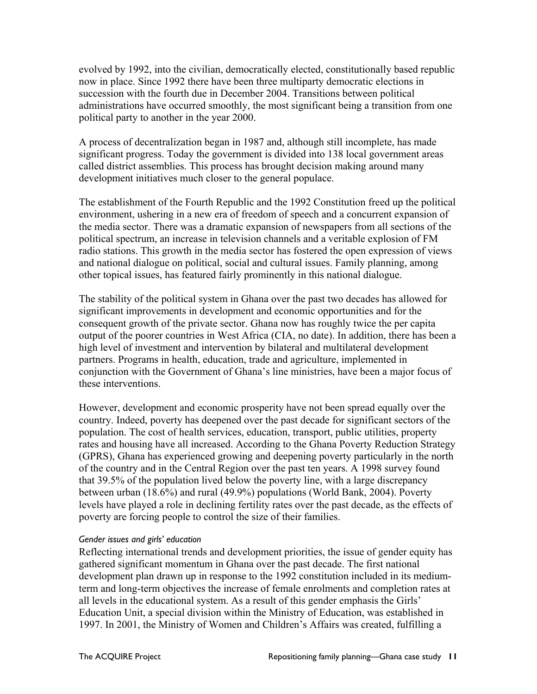evolved by 1992, into the civilian, democratically elected, constitutionally based republic now in place. Since 1992 there have been three multiparty democratic elections in succession with the fourth due in December 2004. Transitions between political administrations have occurred smoothly, the most significant being a transition from one political party to another in the year 2000.

A process of decentralization began in 1987 and, although still incomplete, has made significant progress. Today the government is divided into 138 local government areas called district assemblies. This process has brought decision making around many development initiatives much closer to the general populace.

The establishment of the Fourth Republic and the 1992 Constitution freed up the political environment, ushering in a new era of freedom of speech and a concurrent expansion of the media sector. There was a dramatic expansion of newspapers from all sections of the political spectrum, an increase in television channels and a veritable explosion of FM radio stations. This growth in the media sector has fostered the open expression of views and national dialogue on political, social and cultural issues. Family planning, among other topical issues, has featured fairly prominently in this national dialogue.

The stability of the political system in Ghana over the past two decades has allowed for significant improvements in development and economic opportunities and for the consequent growth of the private sector. Ghana now has roughly twice the per capita output of the poorer countries in West Africa (CIA, no date). In addition, there has been a high level of investment and intervention by bilateral and multilateral development partners. Programs in health, education, trade and agriculture, implemented in conjunction with the Government of Ghana's line ministries, have been a major focus of these interventions.

However, development and economic prosperity have not been spread equally over the country. Indeed, poverty has deepened over the past decade for significant sectors of the population. The cost of health services, education, transport, public utilities, property rates and housing have all increased. According to the Ghana Poverty Reduction Strategy (GPRS), Ghana has experienced growing and deepening poverty particularly in the north of the country and in the Central Region over the past ten years. A 1998 survey found that 39.5% of the population lived below the poverty line, with a large discrepancy between urban (18.6%) and rural (49.9%) populations (World Bank, 2004). Poverty levels have played a role in declining fertility rates over the past decade, as the effects of poverty are forcing people to control the size of their families.

#### *Gender issues and girls' education*

Reflecting international trends and development priorities, the issue of gender equity has gathered significant momentum in Ghana over the past decade. The first national development plan drawn up in response to the 1992 constitution included in its mediumterm and long-term objectives the increase of female enrolments and completion rates at all levels in the educational system. As a result of this gender emphasis the Girls' Education Unit, a special division within the Ministry of Education, was established in 1997. In 2001, the Ministry of Women and Children's Affairs was created, fulfilling a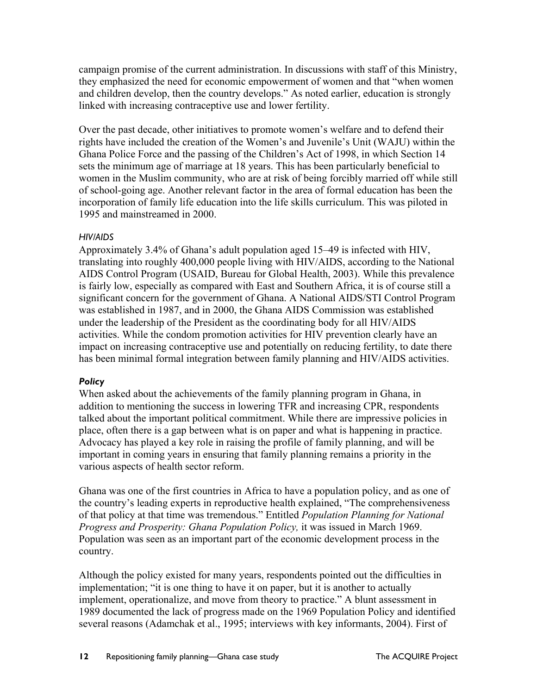campaign promise of the current administration. In discussions with staff of this Ministry, they emphasized the need for economic empowerment of women and that "when women and children develop, then the country develops." As noted earlier, education is strongly linked with increasing contraceptive use and lower fertility.

Over the past decade, other initiatives to promote women's welfare and to defend their rights have included the creation of the Women's and Juvenile's Unit (WAJU) within the Ghana Police Force and the passing of the Children's Act of 1998, in which Section 14 sets the minimum age of marriage at 18 years. This has been particularly beneficial to women in the Muslim community, who are at risk of being forcibly married off while still of school-going age. Another relevant factor in the area of formal education has been the incorporation of family life education into the life skills curriculum. This was piloted in 1995 and mainstreamed in 2000.

### *HIV/AIDS*

Approximately 3.4% of Ghana's adult population aged 15–49 is infected with HIV, translating into roughly 400,000 people living with HIV/AIDS, according to the National AIDS Control Program (USAID, Bureau for Global Health, 2003). While this prevalence is fairly low, especially as compared with East and Southern Africa, it is of course still a significant concern for the government of Ghana. A National AIDS/STI Control Program was established in 1987, and in 2000, the Ghana AIDS Commission was established under the leadership of the President as the coordinating body for all HIV/AIDS activities. While the condom promotion activities for HIV prevention clearly have an impact on increasing contraceptive use and potentially on reducing fertility, to date there has been minimal formal integration between family planning and HIV/AIDS activities.

## *Policy*

When asked about the achievements of the family planning program in Ghana, in addition to mentioning the success in lowering TFR and increasing CPR, respondents talked about the important political commitment. While there are impressive policies in place, often there is a gap between what is on paper and what is happening in practice. Advocacy has played a key role in raising the profile of family planning, and will be important in coming years in ensuring that family planning remains a priority in the various aspects of health sector reform.

Ghana was one of the first countries in Africa to have a population policy, and as one of the country's leading experts in reproductive health explained, "The comprehensiveness of that policy at that time was tremendous." Entitled *Population Planning for National Progress and Prosperity: Ghana Population Policy,* it was issued in March 1969. Population was seen as an important part of the economic development process in the country.

Although the policy existed for many years, respondents pointed out the difficulties in implementation; "it is one thing to have it on paper, but it is another to actually implement, operationalize, and move from theory to practice." A blunt assessment in 1989 documented the lack of progress made on the 1969 Population Policy and identified several reasons (Adamchak et al., 1995; interviews with key informants, 2004). First of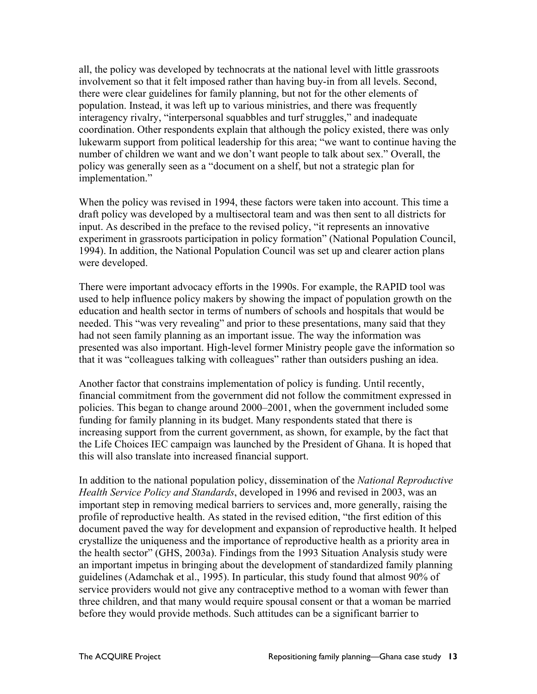all, the policy was developed by technocrats at the national level with little grassroots involvement so that it felt imposed rather than having buy-in from all levels. Second, there were clear guidelines for family planning, but not for the other elements of population. Instead, it was left up to various ministries, and there was frequently interagency rivalry, "interpersonal squabbles and turf struggles," and inadequate coordination. Other respondents explain that although the policy existed, there was only lukewarm support from political leadership for this area; "we want to continue having the number of children we want and we don't want people to talk about sex." Overall, the policy was generally seen as a "document on a shelf, but not a strategic plan for implementation."

When the policy was revised in 1994, these factors were taken into account. This time a draft policy was developed by a multisectoral team and was then sent to all districts for input. As described in the preface to the revised policy, "it represents an innovative experiment in grassroots participation in policy formation" (National Population Council, 1994). In addition, the National Population Council was set up and clearer action plans were developed.

There were important advocacy efforts in the 1990s. For example, the RAPID tool was used to help influence policy makers by showing the impact of population growth on the education and health sector in terms of numbers of schools and hospitals that would be needed. This "was very revealing" and prior to these presentations, many said that they had not seen family planning as an important issue. The way the information was presented was also important. High-level former Ministry people gave the information so that it was "colleagues talking with colleagues" rather than outsiders pushing an idea.

Another factor that constrains implementation of policy is funding. Until recently, financial commitment from the government did not follow the commitment expressed in policies. This began to change around 2000–2001, when the government included some funding for family planning in its budget. Many respondents stated that there is increasing support from the current government, as shown, for example, by the fact that the Life Choices IEC campaign was launched by the President of Ghana. It is hoped that this will also translate into increased financial support.

In addition to the national population policy, dissemination of the *National Reproductive Health Service Policy and Standards*, developed in 1996 and revised in 2003, was an important step in removing medical barriers to services and, more generally, raising the profile of reproductive health. As stated in the revised edition, "the first edition of this document paved the way for development and expansion of reproductive health. It helped crystallize the uniqueness and the importance of reproductive health as a priority area in the health sector" (GHS, 2003a). Findings from the 1993 Situation Analysis study were an important impetus in bringing about the development of standardized family planning guidelines (Adamchak et al., 1995). In particular, this study found that almost 90% of service providers would not give any contraceptive method to a woman with fewer than three children, and that many would require spousal consent or that a woman be married before they would provide methods. Such attitudes can be a significant barrier to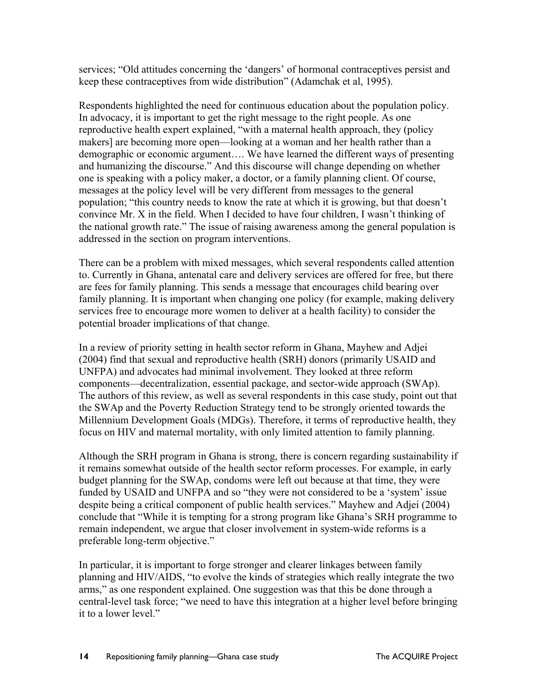services; "Old attitudes concerning the 'dangers' of hormonal contraceptives persist and keep these contraceptives from wide distribution" (Adamchak et al, 1995).

Respondents highlighted the need for continuous education about the population policy. In advocacy, it is important to get the right message to the right people. As one reproductive health expert explained, "with a maternal health approach, they (policy makers] are becoming more open—looking at a woman and her health rather than a demographic or economic argument…. We have learned the different ways of presenting and humanizing the discourse." And this discourse will change depending on whether one is speaking with a policy maker, a doctor, or a family planning client. Of course, messages at the policy level will be very different from messages to the general population; "this country needs to know the rate at which it is growing, but that doesn't convince Mr. X in the field. When I decided to have four children, I wasn't thinking of the national growth rate." The issue of raising awareness among the general population is addressed in the section on program interventions.

There can be a problem with mixed messages, which several respondents called attention to. Currently in Ghana, antenatal care and delivery services are offered for free, but there are fees for family planning. This sends a message that encourages child bearing over family planning. It is important when changing one policy (for example, making delivery services free to encourage more women to deliver at a health facility) to consider the potential broader implications of that change.

In a review of priority setting in health sector reform in Ghana, Mayhew and Adjei (2004) find that sexual and reproductive health (SRH) donors (primarily USAID and UNFPA) and advocates had minimal involvement. They looked at three reform components—decentralization, essential package, and sector-wide approach (SWAp). The authors of this review, as well as several respondents in this case study, point out that the SWAp and the Poverty Reduction Strategy tend to be strongly oriented towards the Millennium Development Goals (MDGs). Therefore, it terms of reproductive health, they focus on HIV and maternal mortality, with only limited attention to family planning.

Although the SRH program in Ghana is strong, there is concern regarding sustainability if it remains somewhat outside of the health sector reform processes. For example, in early budget planning for the SWAp, condoms were left out because at that time, they were funded by USAID and UNFPA and so "they were not considered to be a 'system' issue despite being a critical component of public health services." Mayhew and Adjei (2004) conclude that "While it is tempting for a strong program like Ghana's SRH programme to remain independent, we argue that closer involvement in system-wide reforms is a preferable long-term objective."

In particular, it is important to forge stronger and clearer linkages between family planning and HIV/AIDS, "to evolve the kinds of strategies which really integrate the two arms," as one respondent explained. One suggestion was that this be done through a central-level task force; "we need to have this integration at a higher level before bringing it to a lower level."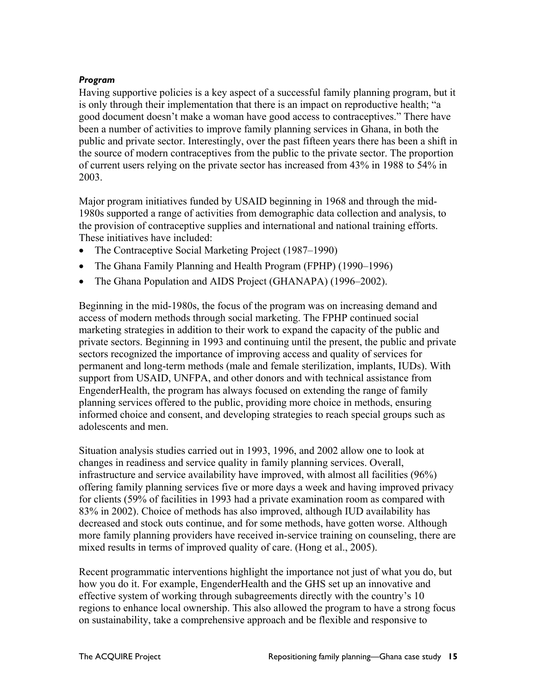### *Program*

Having supportive policies is a key aspect of a successful family planning program, but it is only through their implementation that there is an impact on reproductive health; "a good document doesn't make a woman have good access to contraceptives." There have been a number of activities to improve family planning services in Ghana, in both the public and private sector. Interestingly, over the past fifteen years there has been a shift in the source of modern contraceptives from the public to the private sector. The proportion of current users relying on the private sector has increased from 43% in 1988 to 54% in 2003.

Major program initiatives funded by USAID beginning in 1968 and through the mid-1980s supported a range of activities from demographic data collection and analysis, to the provision of contraceptive supplies and international and national training efforts. These initiatives have included:

- The Contraceptive Social Marketing Project (1987–1990)
- The Ghana Family Planning and Health Program (FPHP) (1990–1996)
- The Ghana Population and AIDS Project (GHANAPA) (1996–2002).

Beginning in the mid-1980s, the focus of the program was on increasing demand and access of modern methods through social marketing. The FPHP continued social marketing strategies in addition to their work to expand the capacity of the public and private sectors. Beginning in 1993 and continuing until the present, the public and private sectors recognized the importance of improving access and quality of services for permanent and long-term methods (male and female sterilization, implants, IUDs). With support from USAID, UNFPA, and other donors and with technical assistance from EngenderHealth, the program has always focused on extending the range of family planning services offered to the public, providing more choice in methods, ensuring informed choice and consent, and developing strategies to reach special groups such as adolescents and men.

Situation analysis studies carried out in 1993, 1996, and 2002 allow one to look at changes in readiness and service quality in family planning services. Overall, infrastructure and service availability have improved, with almost all facilities (96%) offering family planning services five or more days a week and having improved privacy for clients (59% of facilities in 1993 had a private examination room as compared with 83% in 2002). Choice of methods has also improved, although IUD availability has decreased and stock outs continue, and for some methods, have gotten worse. Although more family planning providers have received in-service training on counseling, there are mixed results in terms of improved quality of care. (Hong et al., 2005).

Recent programmatic interventions highlight the importance not just of what you do, but how you do it. For example, EngenderHealth and the GHS set up an innovative and effective system of working through subagreements directly with the country's 10 regions to enhance local ownership. This also allowed the program to have a strong focus on sustainability, take a comprehensive approach and be flexible and responsive to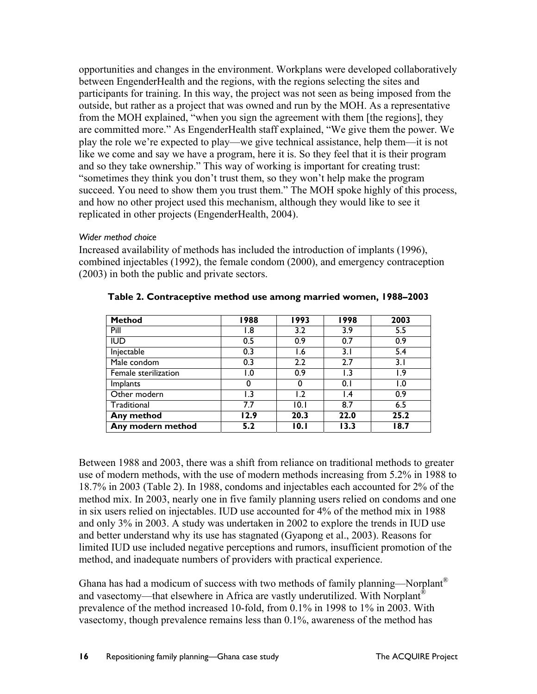opportunities and changes in the environment. Workplans were developed collaboratively between EngenderHealth and the regions, with the regions selecting the sites and participants for training. In this way, the project was not seen as being imposed from the outside, but rather as a project that was owned and run by the MOH. As a representative from the MOH explained, "when you sign the agreement with them [the regions], they are committed more." As EngenderHealth staff explained, "We give them the power. We play the role we're expected to play—we give technical assistance, help them—it is not like we come and say we have a program, here it is. So they feel that it is their program and so they take ownership." This way of working is important for creating trust: "sometimes they think you don't trust them, so they won't help make the program succeed. You need to show them you trust them." The MOH spoke highly of this process, and how no other project used this mechanism, although they would like to see it replicated in other projects (EngenderHealth, 2004).

### *Wider method choice*

Increased availability of methods has included the introduction of implants (1996), combined injectables (1992), the female condom (2000), and emergency contraception (2003) in both the public and private sectors.

| <b>Method</b>        | 1988             | 1993  | 1998             | 2003 |
|----------------------|------------------|-------|------------------|------|
| Pill                 | l.8              | 3.2   | 3.9              | 5.5  |
| $\overline{UD}$      | 0.5              | 0.9   | 0.7              | 0.9  |
| Injectable           | 0.3              | l.6   | 3.1              | 5.4  |
| Male condom          | 0.3              | 2.2   | 2.7              | 3.1  |
| Female sterilization | 0. ا             | 0.9   | $\overline{1.3}$ | ۱.9  |
| <i>Implants</i>      |                  | 0     | 0.1              | 0. ا |
| Other modern         | $\overline{1.3}$ | 1.2   | I.4              | 0.9  |
| Traditional          | 7.7              | 10.I  | 8.7              | 6.5  |
| Any method           | 12.9             | 20.3  | 22.0             | 25.2 |
| Any modern method    | 5.2              | ا ۱0. | 13.3             | 18.7 |

**Table 2. Contraceptive method use among married women, 1988–2003** 

Between 1988 and 2003, there was a shift from reliance on traditional methods to greater use of modern methods, with the use of modern methods increasing from 5.2% in 1988 to 18.7% in 2003 (Table 2). In 1988, condoms and injectables each accounted for 2% of the method mix. In 2003, nearly one in five family planning users relied on condoms and one in six users relied on injectables. IUD use accounted for 4% of the method mix in 1988 and only 3% in 2003. A study was undertaken in 2002 to explore the trends in IUD use and better understand why its use has stagnated (Gyapong et al., 2003). Reasons for limited IUD use included negative perceptions and rumors, insufficient promotion of the method, and inadequate numbers of providers with practical experience.

Ghana has had a modicum of success with two methods of family planning—Norplant® and vasectomy—that elsewhere in Africa are vastly underutilized. With Norplant® prevalence of the method increased 10-fold, from 0.1% in 1998 to 1% in 2003. With vasectomy, though prevalence remains less than 0.1%, awareness of the method has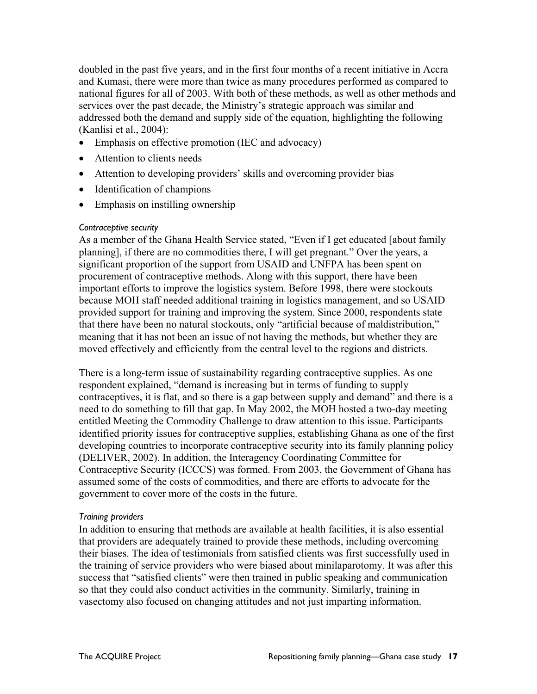doubled in the past five years, and in the first four months of a recent initiative in Accra and Kumasi, there were more than twice as many procedures performed as compared to national figures for all of 2003. With both of these methods, as well as other methods and services over the past decade, the Ministry's strategic approach was similar and addressed both the demand and supply side of the equation, highlighting the following (Kanlisi et al., 2004):

- Emphasis on effective promotion (IEC and advocacy)
- Attention to clients needs
- Attention to developing providers' skills and overcoming provider bias
- Identification of champions
- Emphasis on instilling ownership

#### *Contraceptive security*

As a member of the Ghana Health Service stated, "Even if I get educated [about family planning], if there are no commodities there, I will get pregnant." Over the years, a significant proportion of the support from USAID and UNFPA has been spent on procurement of contraceptive methods. Along with this support, there have been important efforts to improve the logistics system. Before 1998, there were stockouts because MOH staff needed additional training in logistics management, and so USAID provided support for training and improving the system. Since 2000, respondents state that there have been no natural stockouts, only "artificial because of maldistribution," meaning that it has not been an issue of not having the methods, but whether they are moved effectively and efficiently from the central level to the regions and districts.

There is a long-term issue of sustainability regarding contraceptive supplies. As one respondent explained, "demand is increasing but in terms of funding to supply contraceptives, it is flat, and so there is a gap between supply and demand" and there is a need to do something to fill that gap. In May 2002, the MOH hosted a two-day meeting entitled Meeting the Commodity Challenge to draw attention to this issue. Participants identified priority issues for contraceptive supplies, establishing Ghana as one of the first developing countries to incorporate contraceptive security into its family planning policy (DELIVER, 2002). In addition, the Interagency Coordinating Committee for Contraceptive Security (ICCCS) was formed. From 2003, the Government of Ghana has assumed some of the costs of commodities, and there are efforts to advocate for the government to cover more of the costs in the future.

#### *Training providers*

In addition to ensuring that methods are available at health facilities, it is also essential that providers are adequately trained to provide these methods, including overcoming their biases. The idea of testimonials from satisfied clients was first successfully used in the training of service providers who were biased about minilaparotomy. It was after this success that "satisfied clients" were then trained in public speaking and communication so that they could also conduct activities in the community. Similarly, training in vasectomy also focused on changing attitudes and not just imparting information.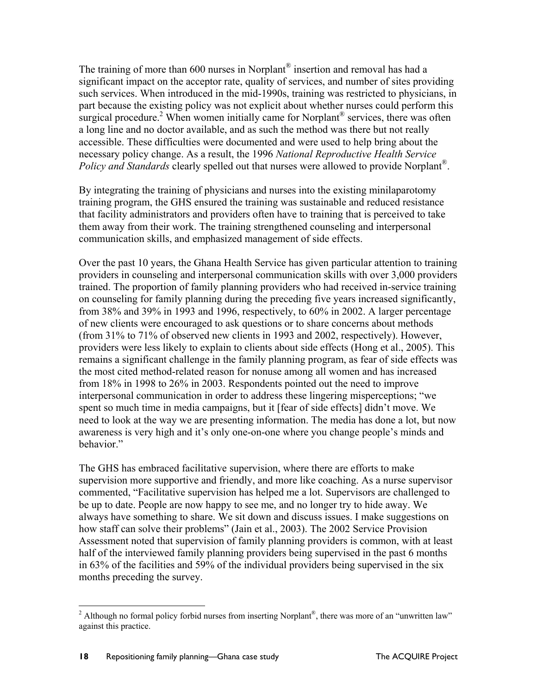The training of more than 600 nurses in Norplant® insertion and removal has had a significant impact on the acceptor rate, quality of services, and number of sites providing such services. When introduced in the mid-1990s, training was restricted to physicians, in part because the existing policy was not explicit about whether nurses could perform this surgical procedure.<sup>2</sup> When women initially came for Norplant<sup>®</sup> services, there was often a long line and no doctor available, and as such the method was there but not really accessible. These difficulties were documented and were used to help bring about the necessary policy change. As a result, the 1996 *National Reproductive Health Service Policy and Standards* clearly spelled out that nurses were allowed to provide Norplant<sup>®</sup>.

By integrating the training of physicians and nurses into the existing minilaparotomy training program, the GHS ensured the training was sustainable and reduced resistance that facility administrators and providers often have to training that is perceived to take them away from their work. The training strengthened counseling and interpersonal communication skills, and emphasized management of side effects.

Over the past 10 years, the Ghana Health Service has given particular attention to training providers in counseling and interpersonal communication skills with over 3,000 providers trained. The proportion of family planning providers who had received in-service training on counseling for family planning during the preceding five years increased significantly, from 38% and 39% in 1993 and 1996, respectively, to 60% in 2002. A larger percentage of new clients were encouraged to ask questions or to share concerns about methods (from 31% to 71% of observed new clients in 1993 and 2002, respectively). However, providers were less likely to explain to clients about side effects (Hong et al., 2005). This remains a significant challenge in the family planning program, as fear of side effects was the most cited method-related reason for nonuse among all women and has increased from 18% in 1998 to 26% in 2003. Respondents pointed out the need to improve interpersonal communication in order to address these lingering misperceptions; "we spent so much time in media campaigns, but it [fear of side effects] didn't move. We need to look at the way we are presenting information. The media has done a lot, but now awareness is very high and it's only one-on-one where you change people's minds and behavior."

The GHS has embraced facilitative supervision, where there are efforts to make supervision more supportive and friendly, and more like coaching. As a nurse supervisor commented, "Facilitative supervision has helped me a lot. Supervisors are challenged to be up to date. People are now happy to see me, and no longer try to hide away. We always have something to share. We sit down and discuss issues. I make suggestions on how staff can solve their problems" (Jain et al., 2003). The 2002 Service Provision Assessment noted that supervision of family planning providers is common, with at least half of the interviewed family planning providers being supervised in the past 6 months in 63% of the facilities and 59% of the individual providers being supervised in the six months preceding the survey.

<sup>&</sup>lt;sup>2</sup> Although no formal policy forbid nurses from inserting Norplant<sup>®</sup>, there was more of an "unwritten law" against this practice.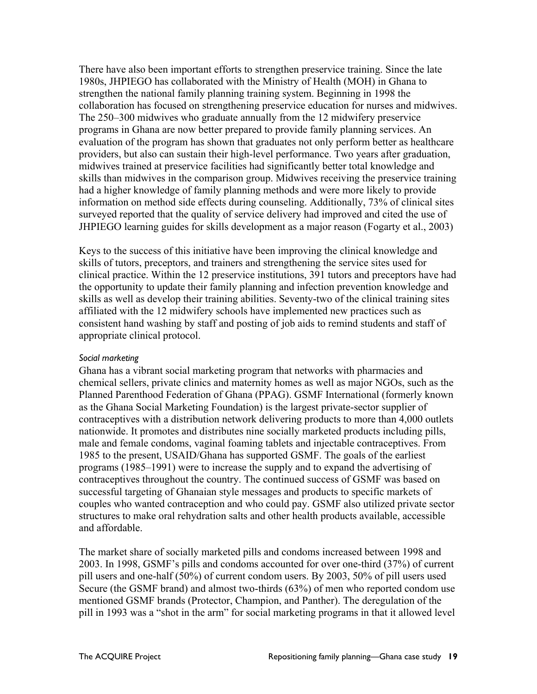There have also been important efforts to strengthen preservice training. Since the late 1980s, JHPIEGO has collaborated with the Ministry of Health (MOH) in Ghana to strengthen the national family planning training system. Beginning in 1998 the collaboration has focused on strengthening preservice education for nurses and midwives. The 250–300 midwives who graduate annually from the 12 midwifery preservice programs in Ghana are now better prepared to provide family planning services. An evaluation of the program has shown that graduates not only perform better as healthcare providers, but also can sustain their high-level performance. Two years after graduation, midwives trained at preservice facilities had significantly better total knowledge and skills than midwives in the comparison group. Midwives receiving the preservice training had a higher knowledge of family planning methods and were more likely to provide information on method side effects during counseling. Additionally, 73% of clinical sites surveyed reported that the quality of service delivery had improved and cited the use of JHPIEGO learning guides for skills development as a major reason (Fogarty et al., 2003)

Keys to the success of this initiative have been improving the clinical knowledge and skills of tutors, preceptors, and trainers and strengthening the service sites used for clinical practice. Within the 12 preservice institutions, 391 tutors and preceptors have had the opportunity to update their family planning and infection prevention knowledge and skills as well as develop their training abilities. Seventy-two of the clinical training sites affiliated with the 12 midwifery schools have implemented new practices such as consistent hand washing by staff and posting of job aids to remind students and staff of appropriate clinical protocol.

### *Social marketing*

Ghana has a vibrant social marketing program that networks with pharmacies and chemical sellers, private clinics and maternity homes as well as major NGOs, such as the Planned Parenthood Federation of Ghana (PPAG). GSMF International (formerly known as the Ghana Social Marketing Foundation) is the largest private-sector supplier of contraceptives with a distribution network delivering products to more than 4,000 outlets nationwide. It promotes and distributes nine socially marketed products including pills, male and female condoms, vaginal foaming tablets and injectable contraceptives. From 1985 to the present, USAID/Ghana has supported GSMF. The goals of the earliest programs (1985–1991) were to increase the supply and to expand the advertising of contraceptives throughout the country. The continued success of GSMF was based on successful targeting of Ghanaian style messages and products to specific markets of couples who wanted contraception and who could pay. GSMF also utilized private sector structures to make oral rehydration salts and other health products available, accessible and affordable.

The market share of socially marketed pills and condoms increased between 1998 and 2003. In 1998, GSMF's pills and condoms accounted for over one-third (37%) of current pill users and one-half (50%) of current condom users. By 2003, 50% of pill users used Secure (the GSMF brand) and almost two-thirds (63%) of men who reported condom use mentioned GSMF brands (Protector, Champion, and Panther). The deregulation of the pill in 1993 was a "shot in the arm" for social marketing programs in that it allowed level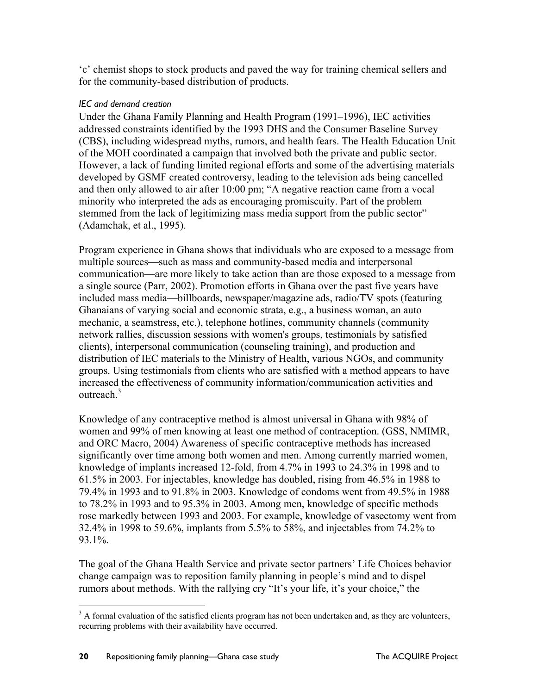'c' chemist shops to stock products and paved the way for training chemical sellers and for the community-based distribution of products.

## *IEC and demand creation*

Under the Ghana Family Planning and Health Program (1991–1996), IEC activities addressed constraints identified by the 1993 DHS and the Consumer Baseline Survey (CBS), including widespread myths, rumors, and health fears. The Health Education Unit of the MOH coordinated a campaign that involved both the private and public sector. However, a lack of funding limited regional efforts and some of the advertising materials developed by GSMF created controversy, leading to the television ads being cancelled and then only allowed to air after 10:00 pm; "A negative reaction came from a vocal minority who interpreted the ads as encouraging promiscuity. Part of the problem stemmed from the lack of legitimizing mass media support from the public sector" (Adamchak, et al., 1995).

Program experience in Ghana shows that individuals who are exposed to a message from multiple sources—such as mass and community-based media and interpersonal communication—are more likely to take action than are those exposed to a message from a single source (Parr, 2002). Promotion efforts in Ghana over the past five years have included mass media—billboards, newspaper/magazine ads, radio/TV spots (featuring Ghanaians of varying social and economic strata, e.g., a business woman, an auto mechanic, a seamstress, etc.), telephone hotlines, community channels (community network rallies, discussion sessions with women's groups, testimonials by satisfied clients), interpersonal communication (counseling training), and production and distribution of IEC materials to the Ministry of Health, various NGOs, and community groups. Using testimonials from clients who are satisfied with a method appears to have increased the effectiveness of community information/communication activities and outreach  $3$ 

Knowledge of any contraceptive method is almost universal in Ghana with 98% of women and 99% of men knowing at least one method of contraception. (GSS, NMIMR, and ORC Macro, 2004) Awareness of specific contraceptive methods has increased significantly over time among both women and men. Among currently married women, knowledge of implants increased 12-fold, from 4.7% in 1993 to 24.3% in 1998 and to 61.5% in 2003. For injectables, knowledge has doubled, rising from 46.5% in 1988 to 79.4% in 1993 and to 91.8% in 2003. Knowledge of condoms went from 49.5% in 1988 to 78.2% in 1993 and to 95.3% in 2003. Among men, knowledge of specific methods rose markedly between 1993 and 2003. For example, knowledge of vasectomy went from 32.4% in 1998 to 59.6%, implants from 5.5% to 58%, and injectables from 74.2% to 93.1%.

The goal of the Ghana Health Service and private sector partners' Life Choices behavior change campaign was to reposition family planning in people's mind and to dispel rumors about methods. With the rallying cry "It's your life, it's your choice," the

<sup>&</sup>lt;sup>3</sup> A formal evaluation of the satisfied clients program has not been undertaken and, as they are volunteers, recurring problems with their availability have occurred.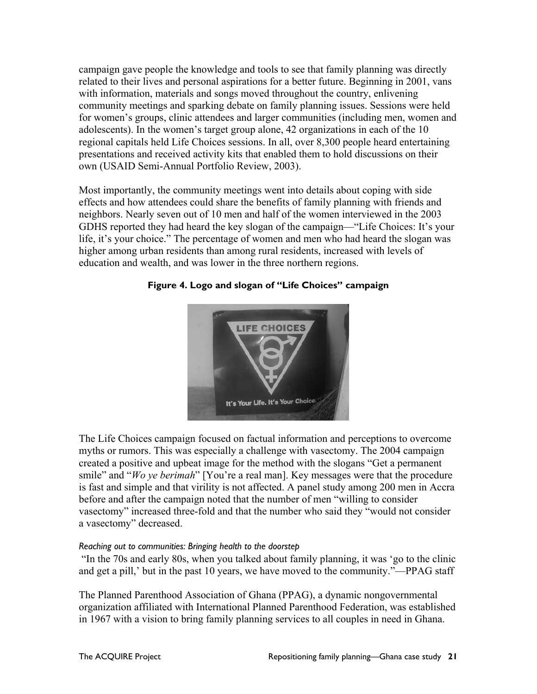campaign gave people the knowledge and tools to see that family planning was directly related to their lives and personal aspirations for a better future. Beginning in 2001, vans with information, materials and songs moved throughout the country, enlivening community meetings and sparking debate on family planning issues. Sessions were held for women's groups, clinic attendees and larger communities (including men, women and adolescents). In the women's target group alone, 42 organizations in each of the 10 regional capitals held Life Choices sessions. In all, over 8,300 people heard entertaining presentations and received activity kits that enabled them to hold discussions on their own (USAID Semi-Annual Portfolio Review, 2003).

Most importantly, the community meetings went into details about coping with side effects and how attendees could share the benefits of family planning with friends and neighbors. Nearly seven out of 10 men and half of the women interviewed in the 2003 GDHS reported they had heard the key slogan of the campaign—"Life Choices: It's your life, it's your choice." The percentage of women and men who had heard the slogan was higher among urban residents than among rural residents, increased with levels of education and wealth, and was lower in the three northern regions.



### **Figure 4. Logo and slogan of "Life Choices" campaign**

The Life Choices campaign focused on factual information and perceptions to overcome myths or rumors. This was especially a challenge with vasectomy. The 2004 campaign created a positive and upbeat image for the method with the slogans "Get a permanent smile" and "*Wo ye berimah*" [You're a real man]. Key messages were that the procedure is fast and simple and that virility is not affected. A panel study among 200 men in Accra before and after the campaign noted that the number of men "willing to consider vasectomy" increased three-fold and that the number who said they "would not consider a vasectomy" decreased.

### *Reaching out to communities: Bringing health to the doorstep*

 "In the 70s and early 80s, when you talked about family planning, it was 'go to the clinic and get a pill,' but in the past 10 years, we have moved to the community."—PPAG staff

The Planned Parenthood Association of Ghana (PPAG), a dynamic nongovernmental organization affiliated with International Planned Parenthood Federation, was established in 1967 with a vision to bring family planning services to all couples in need in Ghana.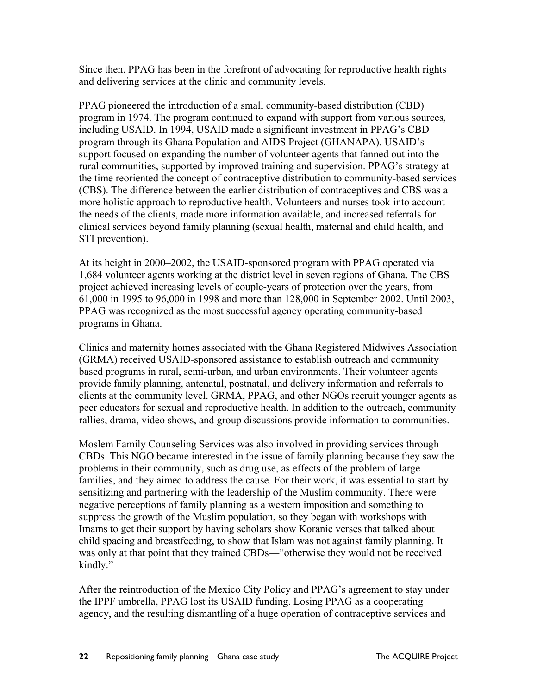Since then, PPAG has been in the forefront of advocating for reproductive health rights and delivering services at the clinic and community levels.

PPAG pioneered the introduction of a small community-based distribution (CBD) program in 1974. The program continued to expand with support from various sources, including USAID. In 1994, USAID made a significant investment in PPAG's CBD program through its Ghana Population and AIDS Project (GHANAPA). USAID's support focused on expanding the number of volunteer agents that fanned out into the rural communities, supported by improved training and supervision. PPAG's strategy at the time reoriented the concept of contraceptive distribution to community-based services (CBS). The difference between the earlier distribution of contraceptives and CBS was a more holistic approach to reproductive health. Volunteers and nurses took into account the needs of the clients, made more information available, and increased referrals for clinical services beyond family planning (sexual health, maternal and child health, and STI prevention).

At its height in 2000–2002, the USAID-sponsored program with PPAG operated via 1,684 volunteer agents working at the district level in seven regions of Ghana. The CBS project achieved increasing levels of couple-years of protection over the years, from 61,000 in 1995 to 96,000 in 1998 and more than 128,000 in September 2002. Until 2003, PPAG was recognized as the most successful agency operating community-based programs in Ghana.

Clinics and maternity homes associated with the Ghana Registered Midwives Association (GRMA) received USAID-sponsored assistance to establish outreach and community based programs in rural, semi-urban, and urban environments. Their volunteer agents provide family planning, antenatal, postnatal, and delivery information and referrals to clients at the community level. GRMA, PPAG, and other NGOs recruit younger agents as peer educators for sexual and reproductive health. In addition to the outreach, community rallies, drama, video shows, and group discussions provide information to communities.

Moslem Family Counseling Services was also involved in providing services through CBDs. This NGO became interested in the issue of family planning because they saw the problems in their community, such as drug use, as effects of the problem of large families, and they aimed to address the cause. For their work, it was essential to start by sensitizing and partnering with the leadership of the Muslim community. There were negative perceptions of family planning as a western imposition and something to suppress the growth of the Muslim population, so they began with workshops with Imams to get their support by having scholars show Koranic verses that talked about child spacing and breastfeeding, to show that Islam was not against family planning. It was only at that point that they trained CBDs—"otherwise they would not be received kindly."

After the reintroduction of the Mexico City Policy and PPAG's agreement to stay under the IPPF umbrella, PPAG lost its USAID funding. Losing PPAG as a cooperating agency, and the resulting dismantling of a huge operation of contraceptive services and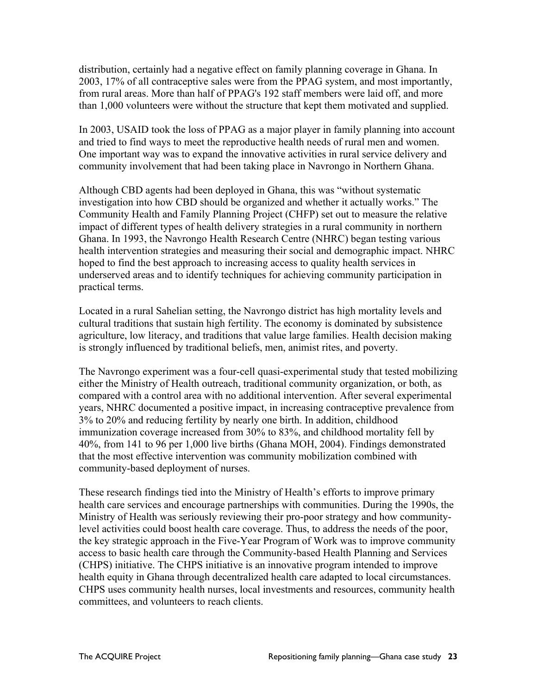distribution, certainly had a negative effect on family planning coverage in Ghana. In 2003, 17% of all contraceptive sales were from the PPAG system, and most importantly, from rural areas. More than half of PPAG's 192 staff members were laid off, and more than 1,000 volunteers were without the structure that kept them motivated and supplied.

In 2003, USAID took the loss of PPAG as a major player in family planning into account and tried to find ways to meet the reproductive health needs of rural men and women. One important way was to expand the innovative activities in rural service delivery and community involvement that had been taking place in Navrongo in Northern Ghana.

Although CBD agents had been deployed in Ghana, this was "without systematic investigation into how CBD should be organized and whether it actually works." The Community Health and Family Planning Project (CHFP) set out to measure the relative impact of different types of health delivery strategies in a rural community in northern Ghana. In 1993, the Navrongo Health Research Centre (NHRC) began testing various health intervention strategies and measuring their social and demographic impact. NHRC hoped to find the best approach to increasing access to quality health services in underserved areas and to identify techniques for achieving community participation in practical terms.

Located in a rural Sahelian setting, the Navrongo district has high mortality levels and cultural traditions that sustain high fertility. The economy is dominated by subsistence agriculture, low literacy, and traditions that value large families. Health decision making is strongly influenced by traditional beliefs, men, animist rites, and poverty.

The Navrongo experiment was a four-cell quasi-experimental study that tested mobilizing either the Ministry of Health outreach, traditional community organization, or both, as compared with a control area with no additional intervention. After several experimental years, NHRC documented a positive impact, in increasing contraceptive prevalence from 3% to 20% and reducing fertility by nearly one birth. In addition, childhood immunization coverage increased from 30% to 83%, and childhood mortality fell by 40%, from 141 to 96 per 1,000 live births (Ghana MOH, 2004). Findings demonstrated that the most effective intervention was community mobilization combined with community-based deployment of nurses.

These research findings tied into the Ministry of Health's efforts to improve primary health care services and encourage partnerships with communities. During the 1990s, the Ministry of Health was seriously reviewing their pro-poor strategy and how communitylevel activities could boost health care coverage. Thus, to address the needs of the poor, the key strategic approach in the Five-Year Program of Work was to improve community access to basic health care through the Community-based Health Planning and Services (CHPS) initiative. The CHPS initiative is an innovative program intended to improve health equity in Ghana through decentralized health care adapted to local circumstances. CHPS uses community health nurses, local investments and resources, community health committees, and volunteers to reach clients.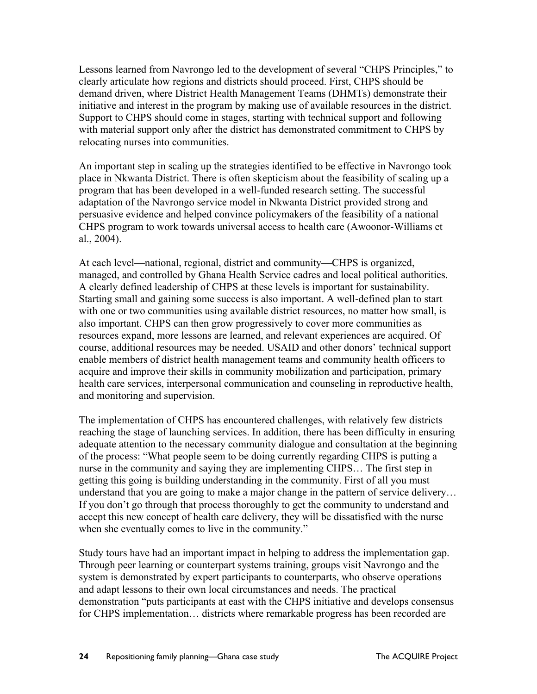Lessons learned from Navrongo led to the development of several "CHPS Principles," to clearly articulate how regions and districts should proceed. First, CHPS should be demand driven, where District Health Management Teams (DHMTs) demonstrate their initiative and interest in the program by making use of available resources in the district. Support to CHPS should come in stages, starting with technical support and following with material support only after the district has demonstrated commitment to CHPS by relocating nurses into communities.

An important step in scaling up the strategies identified to be effective in Navrongo took place in Nkwanta District. There is often skepticism about the feasibility of scaling up a program that has been developed in a well-funded research setting. The successful adaptation of the Navrongo service model in Nkwanta District provided strong and persuasive evidence and helped convince policymakers of the feasibility of a national CHPS program to work towards universal access to health care (Awoonor-Williams et al., 2004).

At each level—national, regional, district and community—CHPS is organized, managed, and controlled by Ghana Health Service cadres and local political authorities. A clearly defined leadership of CHPS at these levels is important for sustainability. Starting small and gaining some success is also important. A well-defined plan to start with one or two communities using available district resources, no matter how small, is also important. CHPS can then grow progressively to cover more communities as resources expand, more lessons are learned, and relevant experiences are acquired. Of course, additional resources may be needed. USAID and other donors' technical support enable members of district health management teams and community health officers to acquire and improve their skills in community mobilization and participation, primary health care services, interpersonal communication and counseling in reproductive health, and monitoring and supervision.

The implementation of CHPS has encountered challenges, with relatively few districts reaching the stage of launching services. In addition, there has been difficulty in ensuring adequate attention to the necessary community dialogue and consultation at the beginning of the process: "What people seem to be doing currently regarding CHPS is putting a nurse in the community and saying they are implementing CHPS… The first step in getting this going is building understanding in the community. First of all you must understand that you are going to make a major change in the pattern of service delivery… If you don't go through that process thoroughly to get the community to understand and accept this new concept of health care delivery, they will be dissatisfied with the nurse when she eventually comes to live in the community."

Study tours have had an important impact in helping to address the implementation gap. Through peer learning or counterpart systems training, groups visit Navrongo and the system is demonstrated by expert participants to counterparts, who observe operations and adapt lessons to their own local circumstances and needs. The practical demonstration "puts participants at east with the CHPS initiative and develops consensus for CHPS implementation… districts where remarkable progress has been recorded are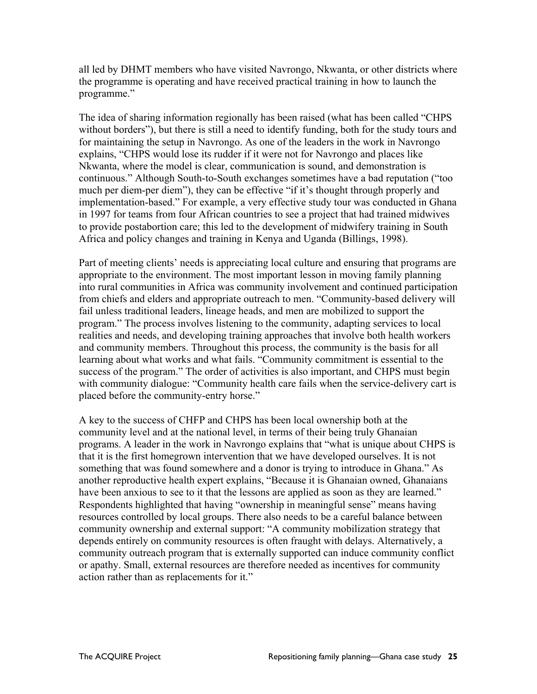all led by DHMT members who have visited Navrongo, Nkwanta, or other districts where the programme is operating and have received practical training in how to launch the programme."

The idea of sharing information regionally has been raised (what has been called "CHPS without borders"), but there is still a need to identify funding, both for the study tours and for maintaining the setup in Navrongo. As one of the leaders in the work in Navrongo explains, "CHPS would lose its rudder if it were not for Navrongo and places like Nkwanta, where the model is clear, communication is sound, and demonstration is continuous." Although South-to-South exchanges sometimes have a bad reputation ("too much per diem-per diem"), they can be effective "if it's thought through properly and implementation-based." For example, a very effective study tour was conducted in Ghana in 1997 for teams from four African countries to see a project that had trained midwives to provide postabortion care; this led to the development of midwifery training in South Africa and policy changes and training in Kenya and Uganda (Billings, 1998).

Part of meeting clients' needs is appreciating local culture and ensuring that programs are appropriate to the environment. The most important lesson in moving family planning into rural communities in Africa was community involvement and continued participation from chiefs and elders and appropriate outreach to men. "Community-based delivery will fail unless traditional leaders, lineage heads, and men are mobilized to support the program." The process involves listening to the community, adapting services to local realities and needs, and developing training approaches that involve both health workers and community members. Throughout this process, the community is the basis for all learning about what works and what fails. "Community commitment is essential to the success of the program." The order of activities is also important, and CHPS must begin with community dialogue: "Community health care fails when the service-delivery cart is placed before the community-entry horse."

A key to the success of CHFP and CHPS has been local ownership both at the community level and at the national level, in terms of their being truly Ghanaian programs. A leader in the work in Navrongo explains that "what is unique about CHPS is that it is the first homegrown intervention that we have developed ourselves. It is not something that was found somewhere and a donor is trying to introduce in Ghana." As another reproductive health expert explains, "Because it is Ghanaian owned, Ghanaians have been anxious to see to it that the lessons are applied as soon as they are learned." Respondents highlighted that having "ownership in meaningful sense" means having resources controlled by local groups. There also needs to be a careful balance between community ownership and external support: "A community mobilization strategy that depends entirely on community resources is often fraught with delays. Alternatively, a community outreach program that is externally supported can induce community conflict or apathy. Small, external resources are therefore needed as incentives for community action rather than as replacements for it."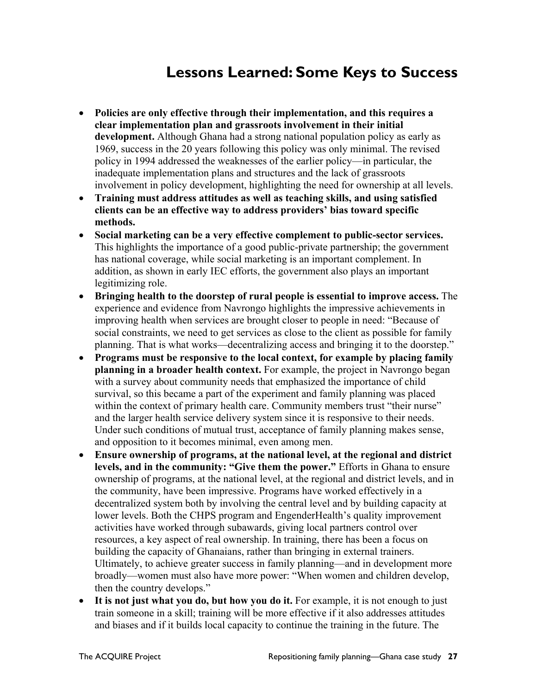# **Lessons Learned: Some Keys to Success**

- **Policies are only effective through their implementation, and this requires a clear implementation plan and grassroots involvement in their initial development.** Although Ghana had a strong national population policy as early as 1969, success in the 20 years following this policy was only minimal. The revised policy in 1994 addressed the weaknesses of the earlier policy—in particular, the inadequate implementation plans and structures and the lack of grassroots involvement in policy development, highlighting the need for ownership at all levels.
- **Training must address attitudes as well as teaching skills, and using satisfied clients can be an effective way to address providers' bias toward specific methods.**
- **Social marketing can be a very effective complement to public-sector services.**  This highlights the importance of a good public-private partnership; the government has national coverage, while social marketing is an important complement. In addition, as shown in early IEC efforts, the government also plays an important legitimizing role.
- **Bringing health to the doorstep of rural people is essential to improve access.** The experience and evidence from Navrongo highlights the impressive achievements in improving health when services are brought closer to people in need: "Because of social constraints, we need to get services as close to the client as possible for family planning. That is what works—decentralizing access and bringing it to the doorstep."
- **Programs must be responsive to the local context, for example by placing family planning in a broader health context.** For example, the project in Navrongo began with a survey about community needs that emphasized the importance of child survival, so this became a part of the experiment and family planning was placed within the context of primary health care. Community members trust "their nurse" and the larger health service delivery system since it is responsive to their needs. Under such conditions of mutual trust, acceptance of family planning makes sense, and opposition to it becomes minimal, even among men.
- **Ensure ownership of programs, at the national level, at the regional and district levels, and in the community: "Give them the power."** Efforts in Ghana to ensure ownership of programs, at the national level, at the regional and district levels, and in the community, have been impressive. Programs have worked effectively in a decentralized system both by involving the central level and by building capacity at lower levels. Both the CHPS program and EngenderHealth's quality improvement activities have worked through subawards, giving local partners control over resources, a key aspect of real ownership. In training, there has been a focus on building the capacity of Ghanaians, rather than bringing in external trainers. Ultimately, to achieve greater success in family planning—and in development more broadly—women must also have more power: "When women and children develop, then the country develops."
- **It is not just what you do, but how you do it.** For example, it is not enough to just train someone in a skill; training will be more effective if it also addresses attitudes and biases and if it builds local capacity to continue the training in the future. The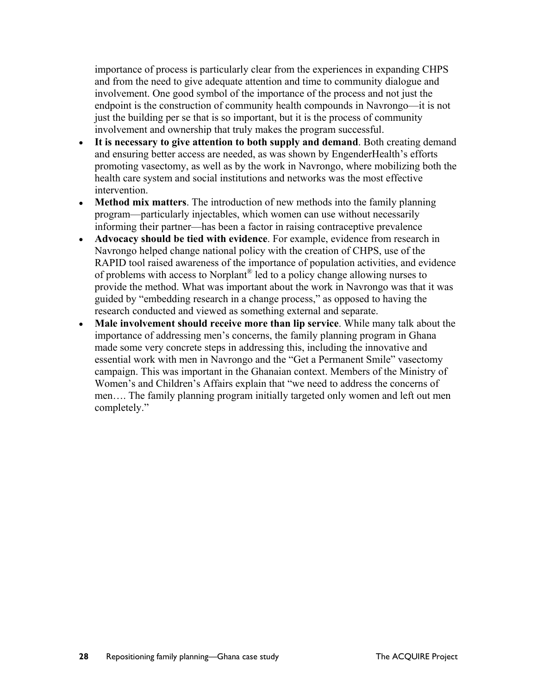importance of process is particularly clear from the experiences in expanding CHPS and from the need to give adequate attention and time to community dialogue and involvement. One good symbol of the importance of the process and not just the endpoint is the construction of community health compounds in Navrongo—it is not just the building per se that is so important, but it is the process of community involvement and ownership that truly makes the program successful.

- **It is necessary to give attention to both supply and demand**. Both creating demand and ensuring better access are needed, as was shown by EngenderHealth's efforts promoting vasectomy, as well as by the work in Navrongo, where mobilizing both the health care system and social institutions and networks was the most effective intervention.
- **Method mix matters**. The introduction of new methods into the family planning program—particularly injectables, which women can use without necessarily informing their partner—has been a factor in raising contraceptive prevalence
- **Advocacy should be tied with evidence**. For example, evidence from research in Navrongo helped change national policy with the creation of CHPS, use of the RAPID tool raised awareness of the importance of population activities, and evidence of problems with access to Norplant® led to a policy change allowing nurses to provide the method. What was important about the work in Navrongo was that it was guided by "embedding research in a change process," as opposed to having the research conducted and viewed as something external and separate.
- **Male involvement should receive more than lip service**. While many talk about the importance of addressing men's concerns, the family planning program in Ghana made some very concrete steps in addressing this, including the innovative and essential work with men in Navrongo and the "Get a Permanent Smile" vasectomy campaign. This was important in the Ghanaian context. Members of the Ministry of Women's and Children's Affairs explain that "we need to address the concerns of men…. The family planning program initially targeted only women and left out men completely."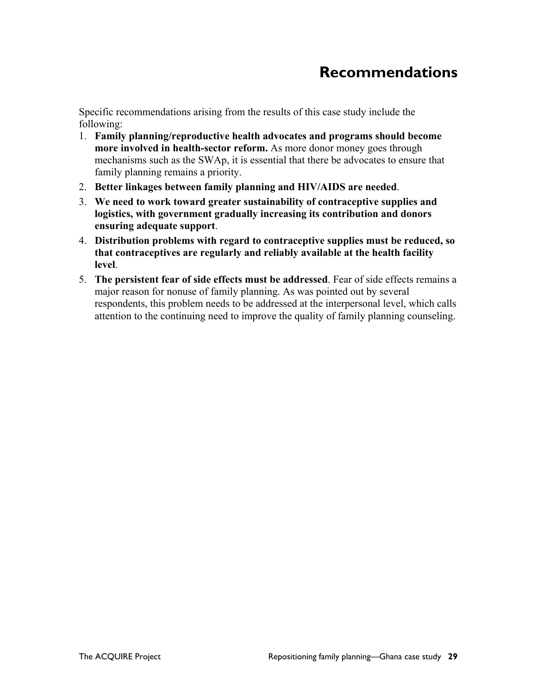# **Recommendations**

Specific recommendations arising from the results of this case study include the following:

- 1. **Family planning/reproductive health advocates and programs should become more involved in health-sector reform.** As more donor money goes through mechanisms such as the SWAp, it is essential that there be advocates to ensure that family planning remains a priority.
- 2. **Better linkages between family planning and HIV/AIDS are needed**.
- 3. **We need to work toward greater sustainability of contraceptive supplies and logistics, with government gradually increasing its contribution and donors ensuring adequate support**.
- 4. **Distribution problems with regard to contraceptive supplies must be reduced, so that contraceptives are regularly and reliably available at the health facility level**.
- 5. **The persistent fear of side effects must be addressed**. Fear of side effects remains a major reason for nonuse of family planning. As was pointed out by several respondents, this problem needs to be addressed at the interpersonal level, which calls attention to the continuing need to improve the quality of family planning counseling.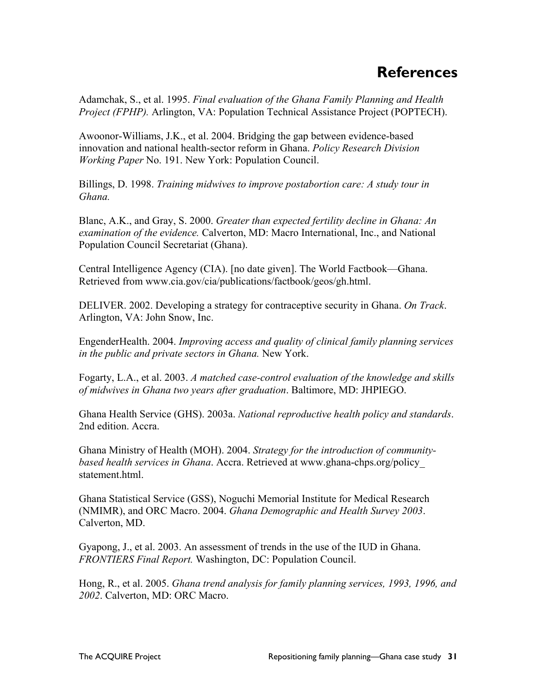# **References**

Adamchak, S., et al. 1995. *Final evaluation of the Ghana Family Planning and Health Project (FPHP).* Arlington, VA: Population Technical Assistance Project (POPTECH).

Awoonor-Williams, J.K., et al. 2004. Bridging the gap between evidence-based innovation and national health-sector reform in Ghana. *Policy Research Division Working Paper* No. 191. New York: Population Council.

Billings, D. 1998. *Training midwives to improve postabortion care: A study tour in Ghana.*

Blanc, A.K., and Gray, S. 2000. *Greater than expected fertility decline in Ghana: An examination of the evidence.* Calverton, MD: Macro International, Inc., and National Population Council Secretariat (Ghana).

Central Intelligence Agency (CIA). [no date given]. The World Factbook—Ghana. Retrieved from www.cia.gov/cia/publications/factbook/geos/gh.html.

DELIVER. 2002. Developing a strategy for contraceptive security in Ghana. *On Track*. Arlington, VA: John Snow, Inc.

EngenderHealth. 2004. *Improving access and quality of clinical family planning services in the public and private sectors in Ghana.* New York.

Fogarty, L.A., et al. 2003. *A matched case-control evaluation of the knowledge and skills of midwives in Ghana two years after graduation*. Baltimore, MD: JHPIEGO.

Ghana Health Service (GHS). 2003a. *National reproductive health policy and standards*. 2nd edition. Accra.

Ghana Ministry of Health (MOH). 2004. *Strategy for the introduction of communitybased health services in Ghana*. Accra. Retrieved at www.ghana-chps.org/policy\_ statement.html

Ghana Statistical Service (GSS), Noguchi Memorial Institute for Medical Research (NMIMR), and ORC Macro. 2004. *Ghana Demographic and Health Survey 2003*. Calverton, MD.

Gyapong, J., et al. 2003. An assessment of trends in the use of the IUD in Ghana. *FRONTIERS Final Report.* Washington, DC: Population Council.

Hong, R., et al. 2005. *Ghana trend analysis for family planning services, 1993, 1996, and 2002*. Calverton, MD: ORC Macro.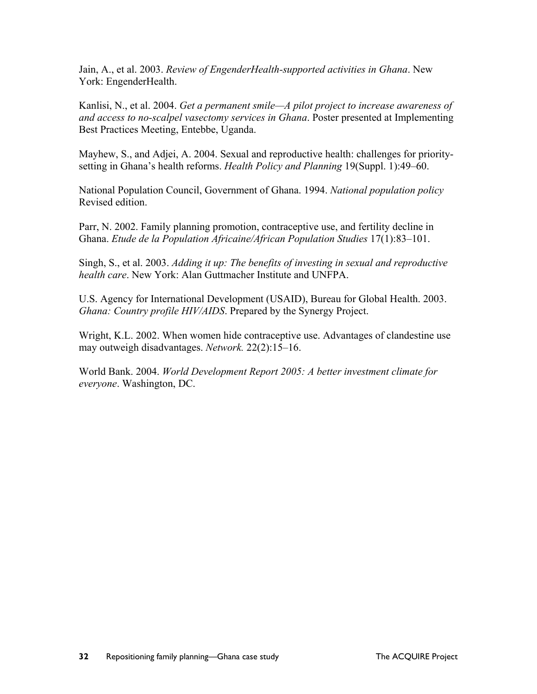Jain, A., et al. 2003. *Review of EngenderHealth-supported activities in Ghana*. New York: EngenderHealth.

Kanlisi, N., et al. 2004. *Get a permanent smile—A pilot project to increase awareness of and access to no-scalpel vasectomy services in Ghana*. Poster presented at Implementing Best Practices Meeting, Entebbe, Uganda.

Mayhew, S., and Adjei, A. 2004. Sexual and reproductive health: challenges for prioritysetting in Ghana's health reforms. *Health Policy and Planning* 19(Suppl. 1):49–60.

National Population Council, Government of Ghana. 1994. *National population policy* Revised edition.

Parr, N. 2002. Family planning promotion, contraceptive use, and fertility decline in Ghana. *Etude de la Population Africaine/African Population Studies* 17(1):83–101.

Singh, S., et al. 2003. *Adding it up: The benefits of investing in sexual and reproductive health care*. New York: Alan Guttmacher Institute and UNFPA.

U.S. Agency for International Development (USAID), Bureau for Global Health. 2003. *Ghana: Country profile HIV/AIDS*. Prepared by the Synergy Project.

Wright, K.L. 2002. When women hide contraceptive use. Advantages of clandestine use may outweigh disadvantages. *Network.* 22(2):15–16.

World Bank. 2004. *World Development Report 2005: A better investment climate for everyone*. Washington, DC.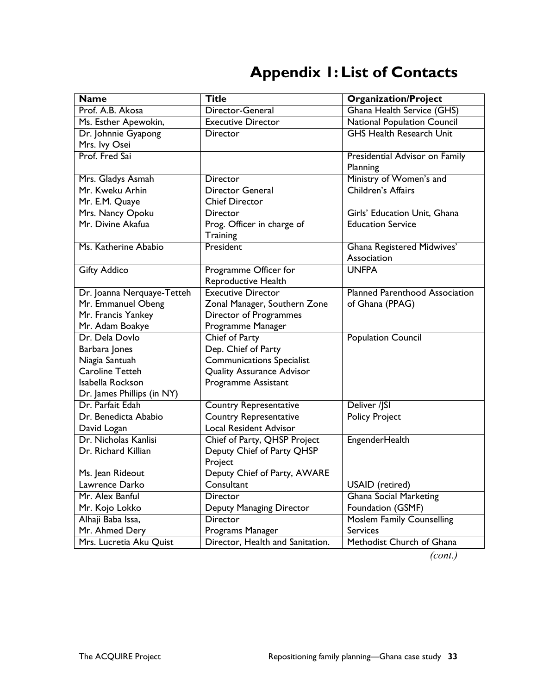# **Appendix 1: List of Contacts**

| <b>Name</b>                | <b>Title</b>                     | <b>Organization/Project</b>           |
|----------------------------|----------------------------------|---------------------------------------|
| Prof. A.B. Akosa           | Director-General                 | Ghana Health Service (GHS)            |
| Ms. Esther Apewokin,       | <b>Executive Director</b>        | National Population Council           |
| Dr. Johnnie Gyapong        | Director                         | <b>GHS Health Research Unit</b>       |
| Mrs. lvy Osei              |                                  |                                       |
| Prof. Fred Sai             |                                  | Presidential Advisor on Family        |
|                            |                                  | Planning                              |
| Mrs. Gladys Asmah          | Director                         | Ministry of Women's and               |
| Mr. Kweku Arhin            | <b>Director General</b>          | Children's Affairs                    |
| Mr. E.M. Quaye             | <b>Chief Director</b>            |                                       |
| Mrs. Nancy Opoku           | <b>Director</b>                  | Girls' Education Unit, Ghana          |
| Mr. Divine Akafua          | Prog. Officer in charge of       | <b>Education Service</b>              |
|                            | Training                         |                                       |
| Ms. Katherine Ababio       | President                        | Ghana Registered Midwives'            |
|                            |                                  | Association                           |
| <b>Gifty Addico</b>        | Programme Officer for            | <b>UNFPA</b>                          |
|                            | Reproductive Health              |                                       |
| Dr. Joanna Nerquaye-Tetteh | <b>Executive Director</b>        | <b>Planned Parenthood Association</b> |
| Mr. Emmanuel Obeng         | Zonal Manager, Southern Zone     | of Ghana (PPAG)                       |
| Mr. Francis Yankey         | Director of Programmes           |                                       |
| Mr. Adam Boakye            | Programme Manager                |                                       |
| Dr. Dela Dovlo             | <b>Chief of Party</b>            | <b>Population Council</b>             |
| Barbara Jones              | Dep. Chief of Party              |                                       |
| Niagia Santuah             | <b>Communications Specialist</b> |                                       |
| <b>Caroline Tetteh</b>     | <b>Quality Assurance Advisor</b> |                                       |
| Isabella Rockson           | Programme Assistant              |                                       |
| Dr. James Phillips (in NY) |                                  |                                       |
| Dr. Parfait Edah           | <b>Country Representative</b>    | Deliver /JSI                          |
| Dr. Benedicta Ababio       | <b>Country Representative</b>    | <b>Policy Project</b>                 |
| David Logan                | <b>Local Resident Advisor</b>    |                                       |
| Dr. Nicholas Kanlisi       | Chief of Party, QHSP Project     | <b>EngenderHealth</b>                 |
| Dr. Richard Killian        | Deputy Chief of Party QHSP       |                                       |
|                            | Project                          |                                       |
| Ms. Jean Rideout           | Deputy Chief of Party, AWARE     |                                       |
| Lawrence Darko             | Consultant                       | <b>USAID</b> (retired)                |
| Mr. Alex Banful            | Director                         | <b>Ghana Social Marketing</b>         |
| Mr. Kojo Lokko             | Deputy Managing Director         | Foundation (GSMF)                     |
| Alhaji Baba Issa,          | Director                         | <b>Moslem Family Counselling</b>      |
| Mr. Ahmed Dery             | Programs Manager                 | <b>Services</b>                       |
| Mrs. Lucretia Aku Quist    | Director, Health and Sanitation. | Methodist Church of Ghana             |

*(cont.)*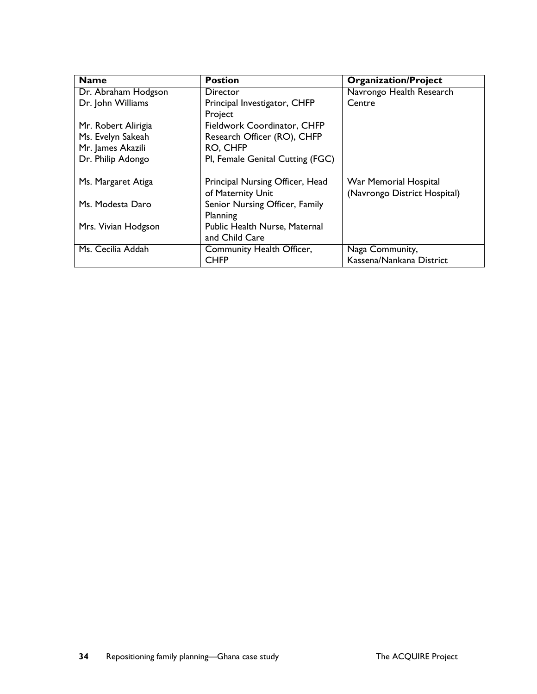| <b>Name</b>         | <b>Postion</b>                   | <b>Organization/Project</b>  |
|---------------------|----------------------------------|------------------------------|
| Dr. Abraham Hodgson | Director                         | Navrongo Health Research     |
| Dr. John Williams   | Principal Investigator, CHFP     | Centre                       |
|                     | Project                          |                              |
| Mr. Robert Alirigia | Fieldwork Coordinator, CHFP      |                              |
| Ms. Evelyn Sakeah   | Research Officer (RO), CHFP      |                              |
| Mr. James Akazili   | <b>RO, CHFP</b>                  |                              |
| Dr. Philip Adongo   | Pl, Female Genital Cutting (FGC) |                              |
|                     |                                  |                              |
| Ms. Margaret Atiga  | Principal Nursing Officer, Head  | War Memorial Hospital        |
|                     | of Maternity Unit                | (Navrongo District Hospital) |
| Ms. Modesta Daro    | Senior Nursing Officer, Family   |                              |
|                     | Planning                         |                              |
| Mrs. Vivian Hodgson | Public Health Nurse, Maternal    |                              |
|                     | and Child Care                   |                              |
| Ms. Cecilia Addah   | Community Health Officer,        | Naga Community,              |
|                     | <b>CHFP</b>                      | Kassena/Nankana District     |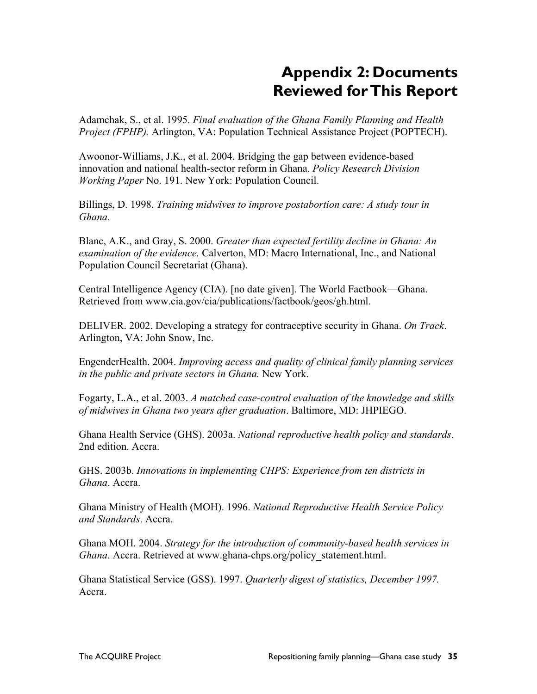# **Appendix 2: Documents Reviewed for This Report**

Adamchak, S., et al. 1995. *Final evaluation of the Ghana Family Planning and Health Project (FPHP).* Arlington, VA: Population Technical Assistance Project (POPTECH).

Awoonor-Williams, J.K., et al. 2004. Bridging the gap between evidence-based innovation and national health-sector reform in Ghana. *Policy Research Division Working Paper* No. 191. New York: Population Council.

Billings, D. 1998. *Training midwives to improve postabortion care: A study tour in Ghana.*

Blanc, A.K., and Gray, S. 2000. *Greater than expected fertility decline in Ghana: An examination of the evidence.* Calverton, MD: Macro International, Inc., and National Population Council Secretariat (Ghana).

Central Intelligence Agency (CIA). [no date given]. The World Factbook—Ghana. Retrieved from www.cia.gov/cia/publications/factbook/geos/gh.html.

DELIVER. 2002. Developing a strategy for contraceptive security in Ghana. *On Track*. Arlington, VA: John Snow, Inc.

EngenderHealth. 2004. *Improving access and quality of clinical family planning services in the public and private sectors in Ghana.* New York.

Fogarty, L.A., et al. 2003. *A matched case-control evaluation of the knowledge and skills of midwives in Ghana two years after graduation*. Baltimore, MD: JHPIEGO.

Ghana Health Service (GHS). 2003a. *National reproductive health policy and standards*. 2nd edition. Accra.

GHS. 2003b. *Innovations in implementing CHPS: Experience from ten districts in Ghana*. Accra.

Ghana Ministry of Health (MOH). 1996. *National Reproductive Health Service Policy and Standards*. Accra.

Ghana MOH. 2004. *Strategy for the introduction of community-based health services in Ghana*. Accra. Retrieved at www.ghana-chps.org/policy\_statement.html.

Ghana Statistical Service (GSS). 1997. *Quarterly digest of statistics, December 1997.* Accra.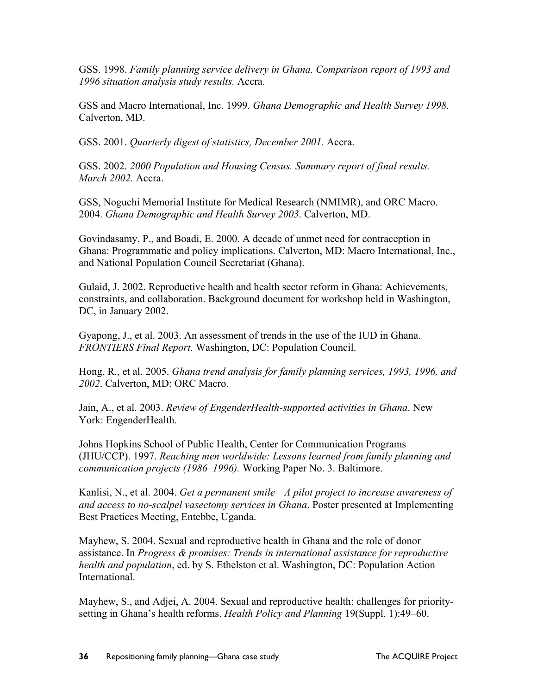GSS. 1998. *Family planning service delivery in Ghana. Comparison report of 1993 and 1996 situation analysis study results.* Accra.

GSS and Macro International, Inc. 1999. *Ghana Demographic and Health Survey 1998*. Calverton, MD.

GSS. 2001. *Quarterly digest of statistics, December 2001.* Accra.

GSS. 2002. *2000 Population and Housing Census. Summary report of final results. March 2002.* Accra.

GSS, Noguchi Memorial Institute for Medical Research (NMIMR), and ORC Macro. 2004. *Ghana Demographic and Health Survey 2003*. Calverton, MD.

Govindasamy, P., and Boadi, E. 2000. A decade of unmet need for contraception in Ghana: Programmatic and policy implications. Calverton, MD: Macro International, Inc., and National Population Council Secretariat (Ghana).

Gulaid, J. 2002. Reproductive health and health sector reform in Ghana: Achievements, constraints, and collaboration. Background document for workshop held in Washington, DC, in January 2002.

Gyapong, J., et al. 2003. An assessment of trends in the use of the IUD in Ghana. *FRONTIERS Final Report.* Washington, DC: Population Council.

Hong, R., et al. 2005. *Ghana trend analysis for family planning services, 1993, 1996, and 2002*. Calverton, MD: ORC Macro.

Jain, A., et al. 2003. *Review of EngenderHealth-supported activities in Ghana*. New York: EngenderHealth.

Johns Hopkins School of Public Health, Center for Communication Programs (JHU/CCP). 1997. *Reaching men worldwide: Lessons learned from family planning and communication projects (1986–1996).* Working Paper No. 3. Baltimore.

Kanlisi, N., et al. 2004. *Get a permanent smile—A pilot project to increase awareness of and access to no-scalpel vasectomy services in Ghana*. Poster presented at Implementing Best Practices Meeting, Entebbe, Uganda.

Mayhew, S. 2004. Sexual and reproductive health in Ghana and the role of donor assistance. In *Progress & promises: Trends in international assistance for reproductive health and population*, ed. by S. Ethelston et al. Washington, DC: Population Action International.

Mayhew, S., and Adjei, A. 2004. Sexual and reproductive health: challenges for prioritysetting in Ghana's health reforms. *Health Policy and Planning* 19(Suppl. 1):49–60.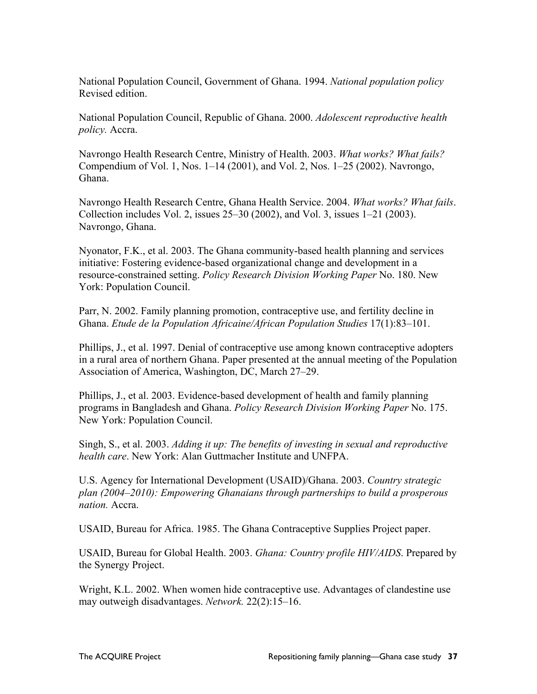National Population Council, Government of Ghana. 1994. *National population policy* Revised edition.

National Population Council, Republic of Ghana. 2000. *Adolescent reproductive health policy.* Accra.

Navrongo Health Research Centre, Ministry of Health. 2003. *What works? What fails?* Compendium of Vol. 1, Nos. 1–14 (2001), and Vol. 2, Nos. 1–25 (2002). Navrongo, Ghana.

Navrongo Health Research Centre, Ghana Health Service. 2004. *What works? What fails*. Collection includes Vol. 2, issues 25–30 (2002), and Vol. 3, issues 1–21 (2003). Navrongo, Ghana.

Nyonator, F.K., et al. 2003. The Ghana community-based health planning and services initiative: Fostering evidence-based organizational change and development in a resource-constrained setting. *Policy Research Division Working Paper* No. 180. New York: Population Council.

Parr, N. 2002. Family planning promotion, contraceptive use, and fertility decline in Ghana. *Etude de la Population Africaine/African Population Studies* 17(1):83–101.

Phillips, J., et al. 1997. Denial of contraceptive use among known contraceptive adopters in a rural area of northern Ghana. Paper presented at the annual meeting of the Population Association of America, Washington, DC, March 27–29.

Phillips, J., et al. 2003. Evidence-based development of health and family planning programs in Bangladesh and Ghana. *Policy Research Division Working Paper* No. 175. New York: Population Council.

Singh, S., et al. 2003. *Adding it up: The benefits of investing in sexual and reproductive health care*. New York: Alan Guttmacher Institute and UNFPA.

U.S. Agency for International Development (USAID)/Ghana. 2003. *Country strategic plan (2004–2010): Empowering Ghanaians through partnerships to build a prosperous nation.* Accra.

USAID, Bureau for Africa. 1985. The Ghana Contraceptive Supplies Project paper.

USAID, Bureau for Global Health. 2003. *Ghana: Country profile HIV/AIDS*. Prepared by the Synergy Project.

Wright, K.L. 2002. When women hide contraceptive use. Advantages of clandestine use may outweigh disadvantages. *Network.* 22(2):15–16.